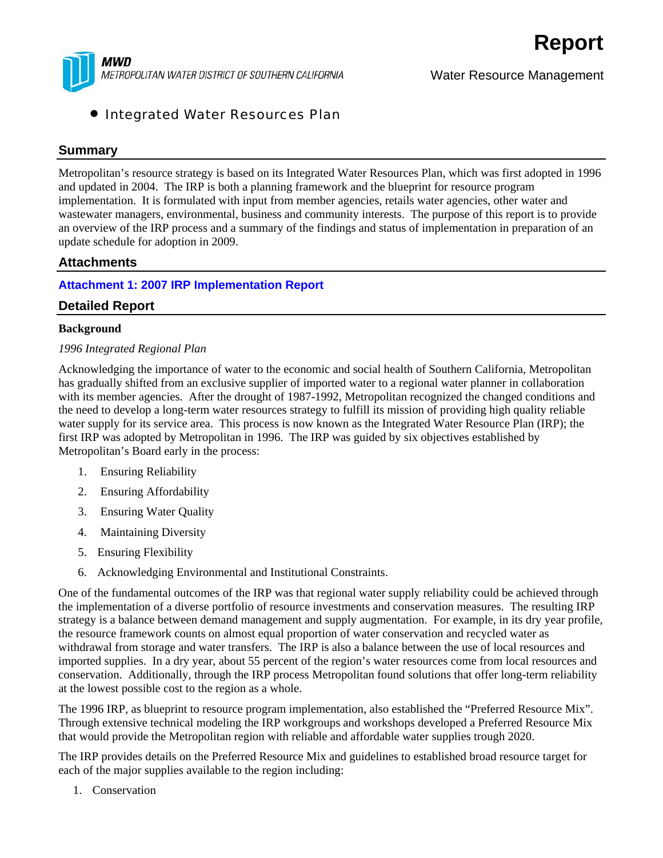

Water Resource Management

#### • Integrated Water Resources Plan

#### **Summary**

Metropolitan's resource strategy is based on its Integrated Water Resources Plan, which was first adopted in 1996 and updated in 2004. The IRP is both a planning framework and the blueprint for resource program implementation. It is formulated with input from member agencies, retails water agencies, other water and wastewater managers, environmental, business and community interests. The purpose of this report is to provide an overview of the IRP process and a summary of the findings and status of implementation in preparation of an update schedule for adoption in 2009.

#### **Attachments**

#### **Attachment 1: 2007 IRP Implementation Report**

#### **Detailed Report**

#### **Background**

#### *1996 Integrated Regional Plan*

Acknowledging the importance of water to the economic and social health of Southern California, Metropolitan has gradually shifted from an exclusive supplier of imported water to a regional water planner in collaboration with its member agencies. After the drought of 1987-1992, Metropolitan recognized the changed conditions and the need to develop a long-term water resources strategy to fulfill its mission of providing high quality reliable water supply for its service area. This process is now known as the Integrated Water Resource Plan (IRP); the first IRP was adopted by Metropolitan in 1996. The IRP was guided by six objectives established by Metropolitan's Board early in the process:

- 1. Ensuring Reliability
- 2. Ensuring Affordability
- 3. Ensuring Water Quality
- 4. Maintaining Diversity
- 5. Ensuring Flexibility
- 6. Acknowledging Environmental and Institutional Constraints.

One of the fundamental outcomes of the IRP was that regional water supply reliability could be achieved through the implementation of a diverse portfolio of resource investments and conservation measures. The resulting IRP strategy is a balance between demand management and supply augmentation. For example, in its dry year profile, the resource framework counts on almost equal proportion of water conservation and recycled water as withdrawal from storage and water transfers. The IRP is also a balance between the use of local resources and imported supplies. In a dry year, about 55 percent of the region's water resources come from local resources and conservation. Additionally, through the IRP process Metropolitan found solutions that offer long-term reliability at the lowest possible cost to the region as a whole.

The 1996 IRP, as blueprint to resource program implementation, also established the "Preferred Resource Mix". Through extensive technical modeling the IRP workgroups and workshops developed a Preferred Resource Mix that would provide the Metropolitan region with reliable and affordable water supplies trough 2020.

The IRP provides details on the Preferred Resource Mix and guidelines to established broad resource target for each of the major supplies available to the region including:

1. Conservation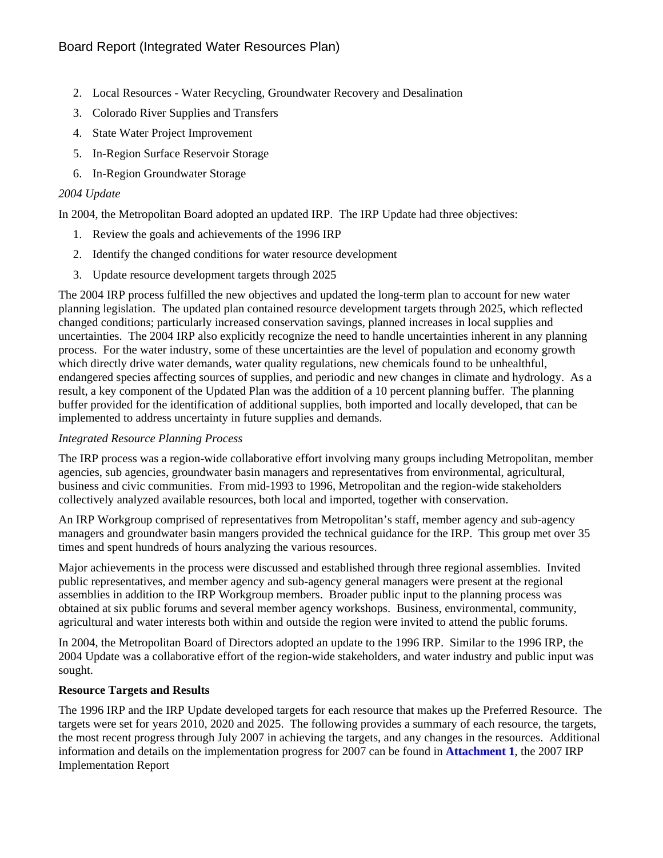- 2. Local Resources Water Recycling, Groundwater Recovery and Desalination
- 3. Colorado River Supplies and Transfers
- 4. State Water Project Improvement
- 5. In-Region Surface Reservoir Storage
- 6. In-Region Groundwater Storage

#### *2004 Update*

In 2004, the Metropolitan Board adopted an updated IRP. The IRP Update had three objectives:

- 1. Review the goals and achievements of the 1996 IRP
- 2. Identify the changed conditions for water resource development
- 3. Update resource development targets through 2025

The 2004 IRP process fulfilled the new objectives and updated the long-term plan to account for new water planning legislation. The updated plan contained resource development targets through 2025, which reflected changed conditions; particularly increased conservation savings, planned increases in local supplies and uncertainties. The 2004 IRP also explicitly recognize the need to handle uncertainties inherent in any planning process. For the water industry, some of these uncertainties are the level of population and economy growth which directly drive water demands, water quality regulations, new chemicals found to be unhealthful, endangered species affecting sources of supplies, and periodic and new changes in climate and hydrology. As a result, a key component of the Updated Plan was the addition of a 10 percent planning buffer. The planning buffer provided for the identification of additional supplies, both imported and locally developed, that can be implemented to address uncertainty in future supplies and demands.

#### *Integrated Resource Planning Process*

The IRP process was a region-wide collaborative effort involving many groups including Metropolitan, member agencies, sub agencies, groundwater basin managers and representatives from environmental, agricultural, business and civic communities. From mid-1993 to 1996, Metropolitan and the region-wide stakeholders collectively analyzed available resources, both local and imported, together with conservation.

An IRP Workgroup comprised of representatives from Metropolitan's staff, member agency and sub-agency managers and groundwater basin mangers provided the technical guidance for the IRP. This group met over 35 times and spent hundreds of hours analyzing the various resources.

Major achievements in the process were discussed and established through three regional assemblies. Invited public representatives, and member agency and sub-agency general managers were present at the regional assemblies in addition to the IRP Workgroup members. Broader public input to the planning process was obtained at six public forums and several member agency workshops. Business, environmental, community, agricultural and water interests both within and outside the region were invited to attend the public forums.

In 2004, the Metropolitan Board of Directors adopted an update to the 1996 IRP. Similar to the 1996 IRP, the 2004 Update was a collaborative effort of the region-wide stakeholders, and water industry and public input was sought.

#### **Resource Targets and Results**

The 1996 IRP and the IRP Update developed targets for each resource that makes up the Preferred Resource. The targets were set for years 2010, 2020 and 2025. The following provides a summary of each resource, the targets, the most recent progress through July 2007 in achieving the targets, and any changes in the resources. Additional information and details on the implementation progress for 2007 can be found in **Attachment 1**, the 2007 IRP Implementation Report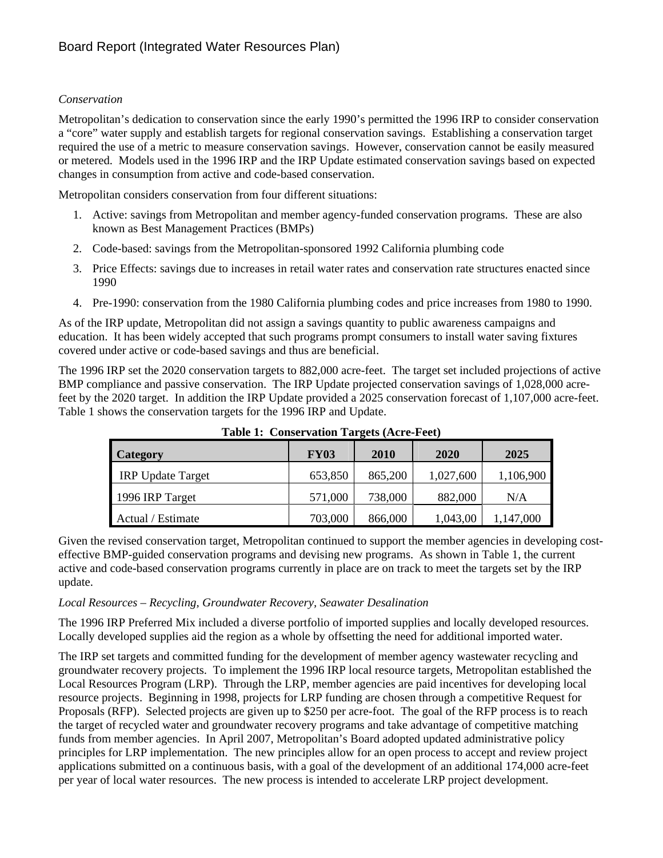#### *Conservation*

Metropolitan's dedication to conservation since the early 1990's permitted the 1996 IRP to consider conservation a "core" water supply and establish targets for regional conservation savings. Establishing a conservation target required the use of a metric to measure conservation savings. However, conservation cannot be easily measured or metered. Models used in the 1996 IRP and the IRP Update estimated conservation savings based on expected changes in consumption from active and code-based conservation.

Metropolitan considers conservation from four different situations:

- 1. Active: savings from Metropolitan and member agency-funded conservation programs. These are also known as Best Management Practices (BMPs)
- 2. Code-based: savings from the Metropolitan-sponsored 1992 California plumbing code
- 3. Price Effects: savings due to increases in retail water rates and conservation rate structures enacted since 1990
- 4. Pre-1990: conservation from the 1980 California plumbing codes and price increases from 1980 to 1990.

As of the IRP update, Metropolitan did not assign a savings quantity to public awareness campaigns and education. It has been widely accepted that such programs prompt consumers to install water saving fixtures covered under active or code-based savings and thus are beneficial.

The 1996 IRP set the 2020 conservation targets to 882,000 acre-feet. The target set included projections of active BMP compliance and passive conservation. The IRP Update projected conservation savings of 1,028,000 acrefeet by the 2020 target. In addition the IRP Update provided a 2025 conservation forecast of 1,107,000 acre-feet. Table 1 shows the conservation targets for the 1996 IRP and Update.

| Category                 | <b>FY03</b> | 2010    | 2020      | 2025      |
|--------------------------|-------------|---------|-----------|-----------|
| <b>IRP</b> Update Target | 653,850     | 865,200 | 1,027,600 | 1,106,900 |
| 1996 IRP Target          | 571,000     | 738,000 | 882,000   | N/A       |
| Actual / Estimate        | 703,000     | 866,000 | 1,043,00  | 147,000   |

**Table 1: Conservation Targets (Acre-Feet)** 

Given the revised conservation target, Metropolitan continued to support the member agencies in developing costeffective BMP-guided conservation programs and devising new programs. As shown in Table 1, the current active and code-based conservation programs currently in place are on track to meet the targets set by the IRP update.

#### *Local Resources – Recycling, Groundwater Recovery, Seawater Desalination*

The 1996 IRP Preferred Mix included a diverse portfolio of imported supplies and locally developed resources. Locally developed supplies aid the region as a whole by offsetting the need for additional imported water.

The IRP set targets and committed funding for the development of member agency wastewater recycling and groundwater recovery projects. To implement the 1996 IRP local resource targets, Metropolitan established the Local Resources Program (LRP). Through the LRP, member agencies are paid incentives for developing local resource projects. Beginning in 1998, projects for LRP funding are chosen through a competitive Request for Proposals (RFP). Selected projects are given up to \$250 per acre-foot. The goal of the RFP process is to reach the target of recycled water and groundwater recovery programs and take advantage of competitive matching funds from member agencies. In April 2007, Metropolitan's Board adopted updated administrative policy principles for LRP implementation. The new principles allow for an open process to accept and review project applications submitted on a continuous basis, with a goal of the development of an additional 174,000 acre-feet per year of local water resources. The new process is intended to accelerate LRP project development.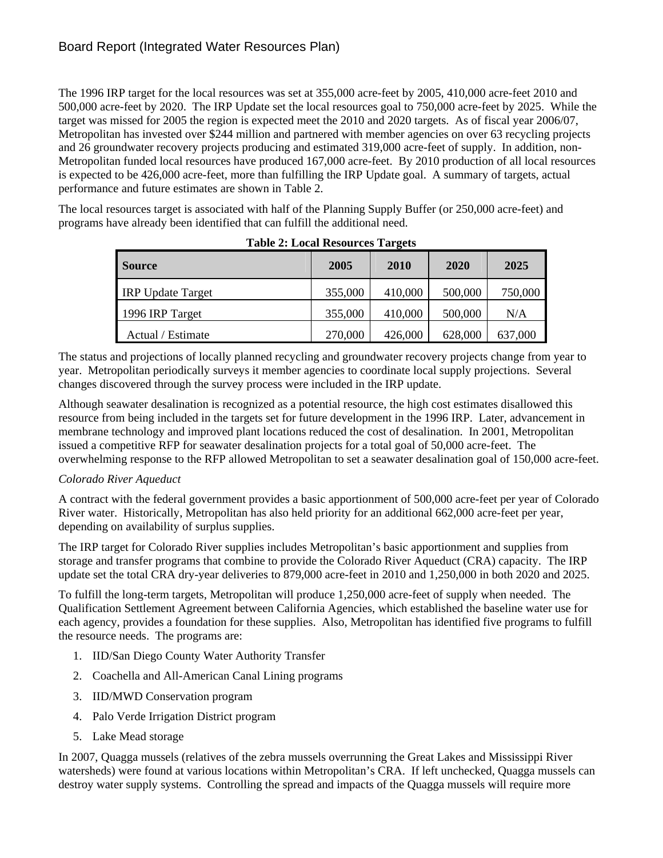The 1996 IRP target for the local resources was set at 355,000 acre-feet by 2005, 410,000 acre-feet 2010 and 500,000 acre-feet by 2020. The IRP Update set the local resources goal to 750,000 acre-feet by 2025. While the target was missed for 2005 the region is expected meet the 2010 and 2020 targets. As of fiscal year 2006/07, Metropolitan has invested over \$244 million and partnered with member agencies on over 63 recycling projects and 26 groundwater recovery projects producing and estimated 319,000 acre-feet of supply. In addition, non-Metropolitan funded local resources have produced 167,000 acre-feet. By 2010 production of all local resources is expected to be 426,000 acre-feet, more than fulfilling the IRP Update goal. A summary of targets, actual performance and future estimates are shown in Table 2.

The local resources target is associated with half of the Planning Supply Buffer (or 250,000 acre-feet) and programs have already been identified that can fulfill the additional need.

| <b>Source</b>            | 2005    | 2010    | 2020    | 2025    |
|--------------------------|---------|---------|---------|---------|
| <b>IRP</b> Update Target | 355,000 | 410,000 | 500,000 | 750,000 |
| 1996 IRP Target          | 355,000 | 410,000 | 500,000 | N/A     |
| Actual / Estimate        | 270,000 | 426,000 | 628,000 | 637,000 |

**Table 2: Local Resources Targets** 

The status and projections of locally planned recycling and groundwater recovery projects change from year to year. Metropolitan periodically surveys it member agencies to coordinate local supply projections. Several changes discovered through the survey process were included in the IRP update.

Although seawater desalination is recognized as a potential resource, the high cost estimates disallowed this resource from being included in the targets set for future development in the 1996 IRP. Later, advancement in membrane technology and improved plant locations reduced the cost of desalination. In 2001, Metropolitan issued a competitive RFP for seawater desalination projects for a total goal of 50,000 acre-feet. The overwhelming response to the RFP allowed Metropolitan to set a seawater desalination goal of 150,000 acre-feet.

#### *Colorado River Aqueduct*

A contract with the federal government provides a basic apportionment of 500,000 acre-feet per year of Colorado River water. Historically, Metropolitan has also held priority for an additional 662,000 acre-feet per year, depending on availability of surplus supplies.

The IRP target for Colorado River supplies includes Metropolitan's basic apportionment and supplies from storage and transfer programs that combine to provide the Colorado River Aqueduct (CRA) capacity. The IRP update set the total CRA dry-year deliveries to 879,000 acre-feet in 2010 and 1,250,000 in both 2020 and 2025.

To fulfill the long-term targets, Metropolitan will produce 1,250,000 acre-feet of supply when needed. The Qualification Settlement Agreement between California Agencies, which established the baseline water use for each agency, provides a foundation for these supplies. Also, Metropolitan has identified five programs to fulfill the resource needs. The programs are:

- 1. IID/San Diego County Water Authority Transfer
- 2. Coachella and All-American Canal Lining programs
- 3. IID/MWD Conservation program
- 4. Palo Verde Irrigation District program
- 5. Lake Mead storage

In 2007, Quagga mussels (relatives of the zebra mussels overrunning the Great Lakes and Mississippi River watersheds) were found at various locations within Metropolitan's CRA. If left unchecked, Quagga mussels can destroy water supply systems. Controlling the spread and impacts of the Quagga mussels will require more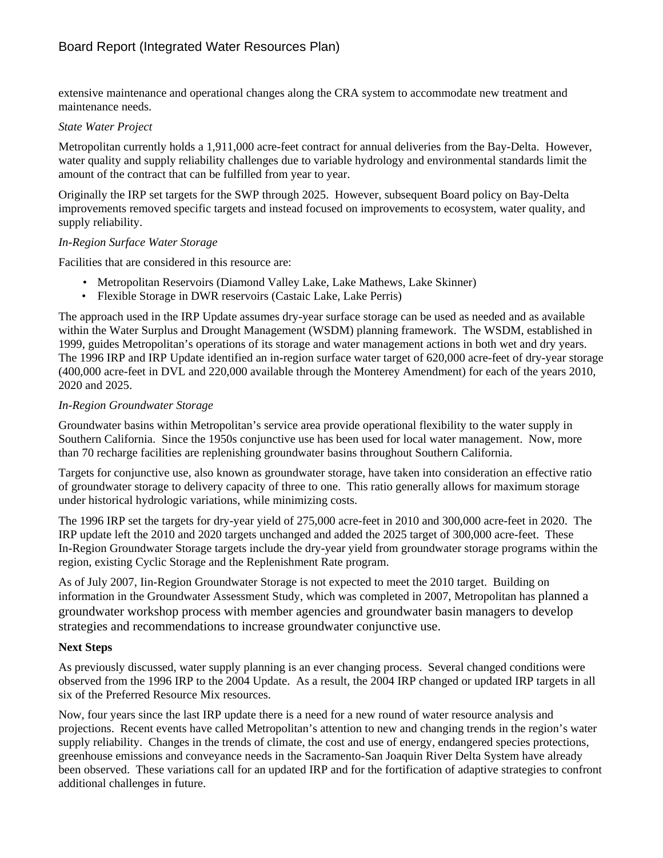extensive maintenance and operational changes along the CRA system to accommodate new treatment and maintenance needs.

#### *State Water Project*

Metropolitan currently holds a 1,911,000 acre-feet contract for annual deliveries from the Bay-Delta. However, water quality and supply reliability challenges due to variable hydrology and environmental standards limit the amount of the contract that can be fulfilled from year to year.

Originally the IRP set targets for the SWP through 2025. However, subsequent Board policy on Bay-Delta improvements removed specific targets and instead focused on improvements to ecosystem, water quality, and supply reliability.

#### *In-Region Surface Water Storage*

Facilities that are considered in this resource are:

- Metropolitan Reservoirs (Diamond Valley Lake, Lake Mathews, Lake Skinner)
- Flexible Storage in DWR reservoirs (Castaic Lake, Lake Perris)

The approach used in the IRP Update assumes dry-year surface storage can be used as needed and as available within the Water Surplus and Drought Management (WSDM) planning framework. The WSDM, established in 1999, guides Metropolitan's operations of its storage and water management actions in both wet and dry years. The 1996 IRP and IRP Update identified an in-region surface water target of 620,000 acre-feet of dry-year storage (400,000 acre-feet in DVL and 220,000 available through the Monterey Amendment) for each of the years 2010, 2020 and 2025.

#### *In-Region Groundwater Storage*

Groundwater basins within Metropolitan's service area provide operational flexibility to the water supply in Southern California. Since the 1950s conjunctive use has been used for local water management. Now, more than 70 recharge facilities are replenishing groundwater basins throughout Southern California.

Targets for conjunctive use, also known as groundwater storage, have taken into consideration an effective ratio of groundwater storage to delivery capacity of three to one. This ratio generally allows for maximum storage under historical hydrologic variations, while minimizing costs.

The 1996 IRP set the targets for dry-year yield of 275,000 acre-feet in 2010 and 300,000 acre-feet in 2020. The IRP update left the 2010 and 2020 targets unchanged and added the 2025 target of 300,000 acre-feet. These In-Region Groundwater Storage targets include the dry-year yield from groundwater storage programs within the region, existing Cyclic Storage and the Replenishment Rate program.

As of July 2007, Iin-Region Groundwater Storage is not expected to meet the 2010 target. Building on information in the Groundwater Assessment Study, which was completed in 2007, Metropolitan has planned a groundwater workshop process with member agencies and groundwater basin managers to develop strategies and recommendations to increase groundwater conjunctive use.

#### **Next Steps**

As previously discussed, water supply planning is an ever changing process. Several changed conditions were observed from the 1996 IRP to the 2004 Update. As a result, the 2004 IRP changed or updated IRP targets in all six of the Preferred Resource Mix resources.

Now, four years since the last IRP update there is a need for a new round of water resource analysis and projections. Recent events have called Metropolitan's attention to new and changing trends in the region's water supply reliability. Changes in the trends of climate, the cost and use of energy, endangered species protections, greenhouse emissions and conveyance needs in the Sacramento-San Joaquin River Delta System have already been observed. These variations call for an updated IRP and for the fortification of adaptive strategies to confront additional challenges in future.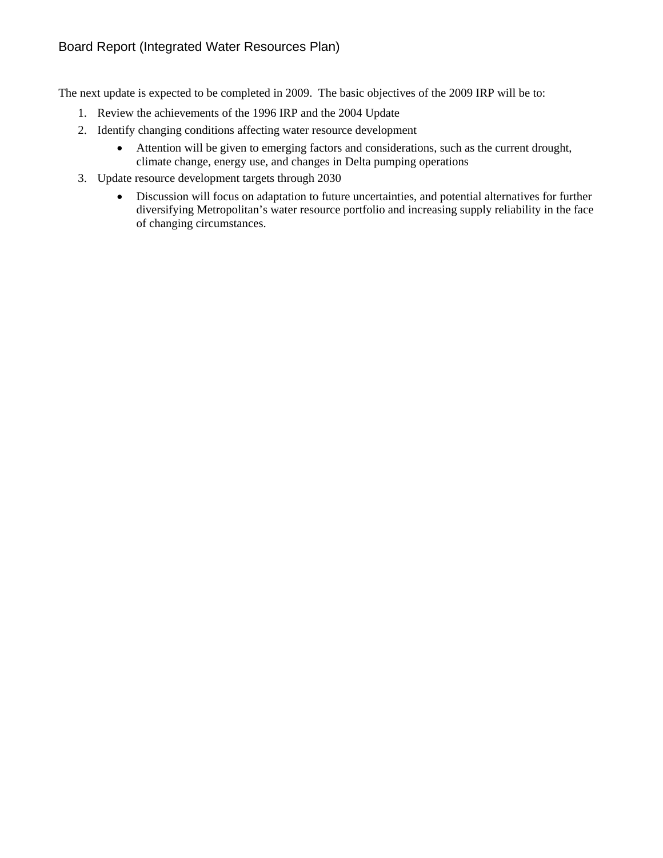#### Board Report (Integrated Water Resources Plan)

The next update is expected to be completed in 2009. The basic objectives of the 2009 IRP will be to:

- 1. Review the achievements of the 1996 IRP and the 2004 Update
- 2. Identify changing conditions affecting water resource development
	- Attention will be given to emerging factors and considerations, such as the current drought, climate change, energy use, and changes in Delta pumping operations
- 3. Update resource development targets through 2030
	- Discussion will focus on adaptation to future uncertainties, and potential alternatives for further diversifying Metropolitan's water resource portfolio and increasing supply reliability in the face of changing circumstances.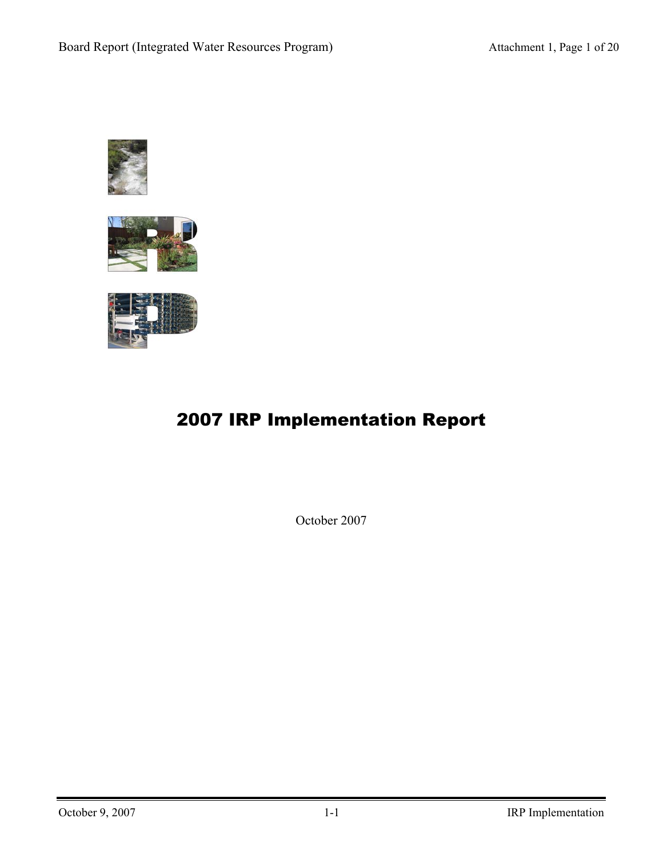





# 2007 IRP Implementation Report

October 2007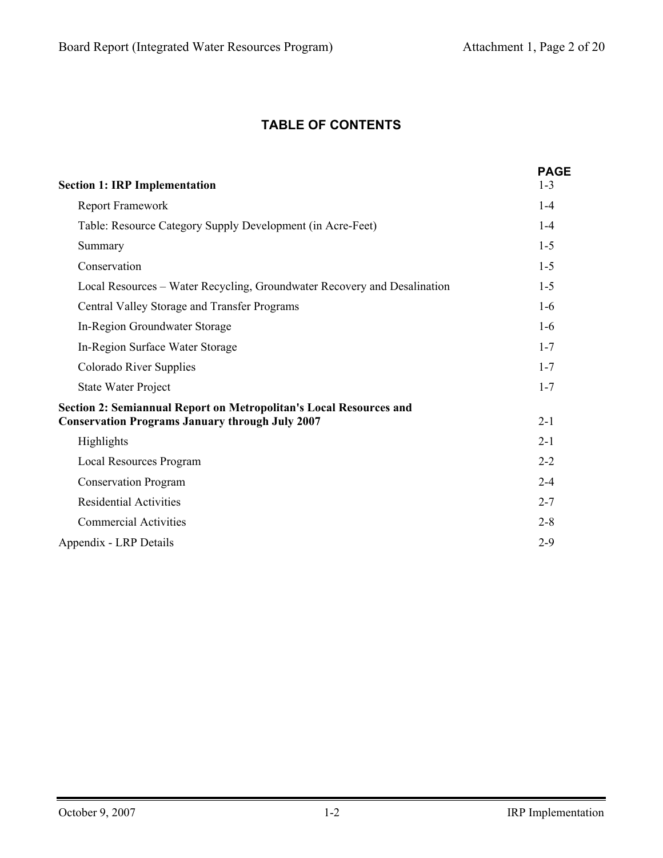# **TABLE OF CONTENTS**

| <b>Section 1: IRP Implementation</b>                                                                                                | <b>PAGE</b><br>$1 - 3$ |
|-------------------------------------------------------------------------------------------------------------------------------------|------------------------|
| Report Framework                                                                                                                    | $1 - 4$                |
| Table: Resource Category Supply Development (in Acre-Feet)                                                                          | $1 - 4$                |
| Summary                                                                                                                             | $1 - 5$                |
| Conservation                                                                                                                        | $1 - 5$                |
| Local Resources – Water Recycling, Groundwater Recovery and Desalination                                                            | $1 - 5$                |
| Central Valley Storage and Transfer Programs                                                                                        | $1-6$                  |
| In-Region Groundwater Storage                                                                                                       | $1-6$                  |
| In-Region Surface Water Storage                                                                                                     | $1 - 7$                |
| Colorado River Supplies                                                                                                             | $1 - 7$                |
| <b>State Water Project</b>                                                                                                          | $1 - 7$                |
| <b>Section 2: Semiannual Report on Metropolitan's Local Resources and</b><br><b>Conservation Programs January through July 2007</b> | $2 - 1$                |
| Highlights                                                                                                                          | $2 - 1$                |
| <b>Local Resources Program</b>                                                                                                      | $2 - 2$                |
| <b>Conservation Program</b>                                                                                                         | $2 - 4$                |
| <b>Residential Activities</b>                                                                                                       | $2 - 7$                |
| <b>Commercial Activities</b>                                                                                                        | $2 - 8$                |
| Appendix - LRP Details                                                                                                              | $2 - 9$                |
|                                                                                                                                     |                        |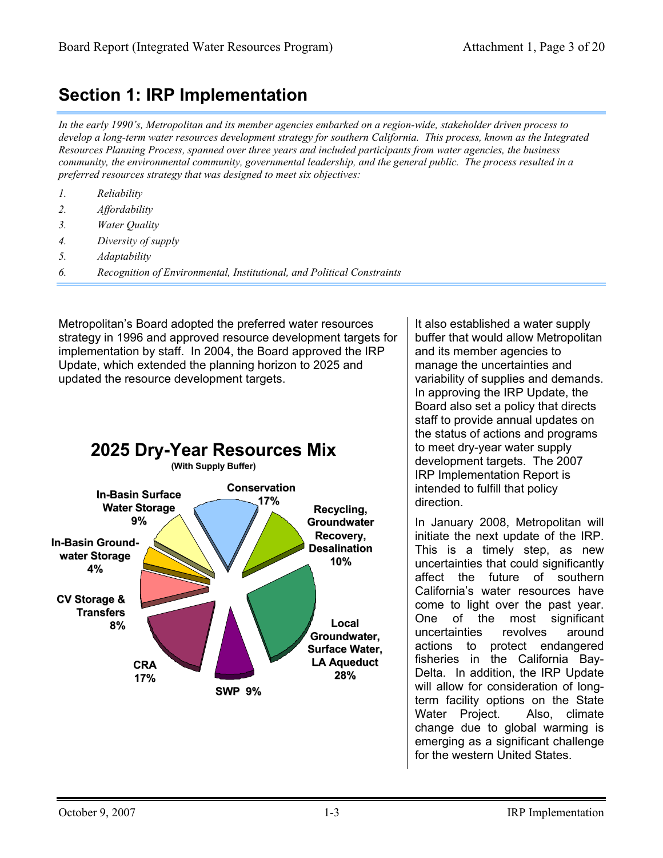# **Section 1: IRP Implementation**

*In the early 1990's, Metropolitan and its member agencies embarked on a region-wide, stakeholder driven process to develop a long-term water resources development strategy for southern California. This process, known as the Integrated Resources Planning Process, spanned over three years and included participants from water agencies, the business community, the environmental community, governmental leadership, and the general public. The process resulted in a preferred resources strategy that was designed to meet six objectives:* 

- *1. Reliability*
- *2. Affordability*
- *3. Water Quality*
- *4. Diversity of supply*
- *5. Adaptability*
- *6. Recognition of Environmental, Institutional, and Political Constraints*

Metropolitan's Board adopted the preferred water resources strategy in 1996 and approved resource development targets for implementation by staff. In 2004, the Board approved the IRP Update, which extended the planning horizon to 2025 and updated the resource development targets.



It also established a water supply buffer that would allow Metropolitan and its member agencies to manage the uncertainties and variability of supplies and demands. In approving the IRP Update, the Board also set a policy that directs staff to provide annual updates on the status of actions and programs to meet dry-year water supply development targets. The 2007 IRP Implementation Report is intended to fulfill that policy direction.

initiate the next update of the IRP. This is a timely step, as new uncertainties that could significantly affect the future of southern California's water resources have come to light over the past year. One of the most significant uncertainties revolves around actions to protect endangered fisheries in the California Bay-Delta. In addition, the IRP Update will allow for consideration of longterm facility options on the State Water Project. Also, climate change due to global warming is emerging as a significant challenge for the western United States.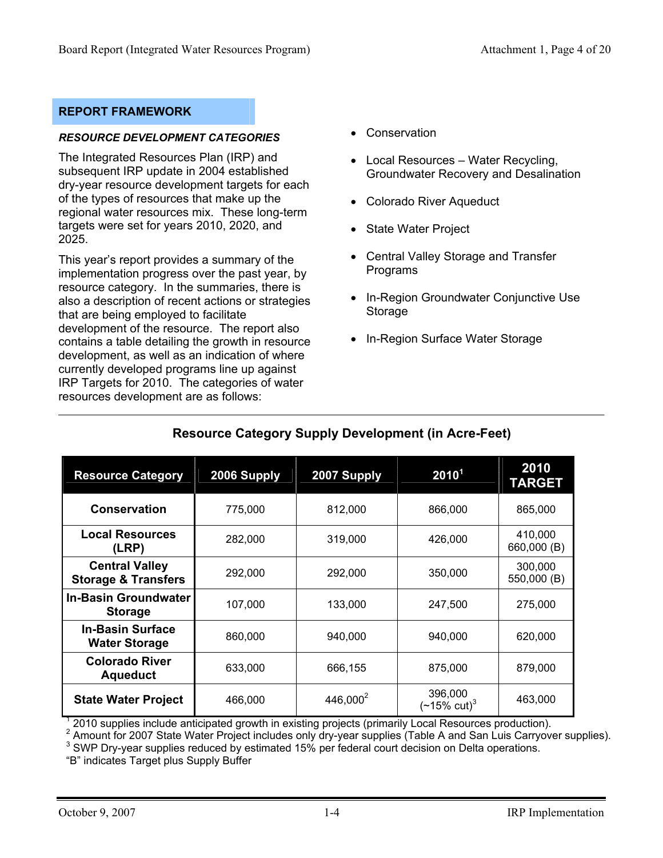#### **REPORT FRAMEWORK**

#### *RESOURCE DEVELOPMENT CATEGORIES*

The Integrated Resources Plan (IRP) and subsequent IRP update in 2004 established dry-year resource development targets for each of the types of resources that make up the regional water resources mix. These long-term targets were set for years 2010, 2020, and 2025.

This year's report provides a summary of the implementation progress over the past year, by resource category. In the summaries, there is also a description of recent actions or strategies that are being employed to facilitate development of the resource. The report also contains a table detailing the growth in resource development, as well as an indication of where currently developed programs line up against IRP Targets for 2010. The categories of water resources development are as follows:

- Conservation
- Local Resources Water Recycling, Groundwater Recovery and Desalination
- Colorado River Aqueduct
- State Water Project
- Central Valley Storage and Transfer Programs
- In-Region Groundwater Conjunctive Use **Storage**
- In-Region Surface Water Storage

| <b>Resource Category</b>                                | 2006 Supply | 2007 Supply          | 2010 <sup>1</sup>                  | 2010<br><b>TARGET</b>  |
|---------------------------------------------------------|-------------|----------------------|------------------------------------|------------------------|
| Conservation                                            | 775,000     | 812,000              | 866,000                            | 865,000                |
| <b>Local Resources</b><br>(LRP)                         | 282,000     | 319,000              | 426,000                            | 410,000<br>660,000 (B) |
| <b>Central Valley</b><br><b>Storage &amp; Transfers</b> | 292,000     | 292,000              | 350,000                            | 300,000<br>550,000 (B) |
| <b>In-Basin Groundwater</b><br><b>Storage</b>           | 107,000     | 133,000              | 247,500                            | 275,000                |
| <b>In-Basin Surface</b><br><b>Water Storage</b>         | 860,000     | 940,000              | 940,000                            | 620,000                |
| <b>Colorado River</b><br><b>Aqueduct</b>                | 633,000     | 666,155              | 875,000                            | 879,000                |
| <b>State Water Project</b>                              | 466,000     | 446,000 <sup>2</sup> | 396,000<br>$(-15\% \text{ cut})^3$ | 463,000                |

# **Resource Category Supply Development (in Acre-Feet)**

 $1$  2010 supplies include anticipated growth in existing projects (primarily Local Resources production).

<sup>2</sup> Amount for 2007 State Water Project includes only dry-year supplies (Table A and San Luis Carryover supplies).

<sup>3</sup> SWP Dry-year supplies reduced by estimated 15% per federal court decision on Delta operations.

"B" indicates Target plus Supply Buffer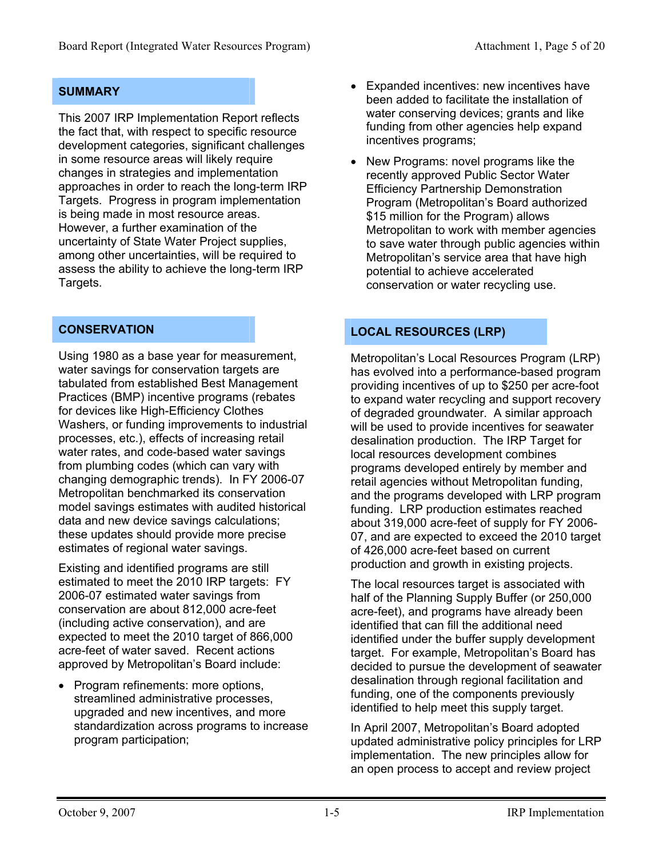#### **SUMMARY**

This 2007 IRP Implementation Report reflects the fact that, with respect to specific resource development categories, significant challenges in some resource areas will likely require changes in strategies and implementation approaches in order to reach the long-term IRP Targets. Progress in program implementation is being made in most resource areas. However, a further examination of the uncertainty of State Water Project supplies, among other uncertainties, will be required to assess the ability to achieve the long-term IRP Targets.

#### **CONSERVATION**

Using 1980 as a base year for measurement, water savings for conservation targets are tabulated from established Best Management Practices (BMP) incentive programs (rebates for devices like High-Efficiency Clothes Washers, or funding improvements to industrial processes, etc.), effects of increasing retail water rates, and code-based water savings from plumbing codes (which can vary with changing demographic trends). In FY 2006-07 Metropolitan benchmarked its conservation model savings estimates with audited historical data and new device savings calculations; these updates should provide more precise estimates of regional water savings.

Existing and identified programs are still estimated to meet the 2010 IRP targets: FY 2006-07 estimated water savings from conservation are about 812,000 acre-feet (including active conservation), and are expected to meet the 2010 target of 866,000 acre-feet of water saved. Recent actions approved by Metropolitan's Board include:

• Program refinements: more options, streamlined administrative processes, upgraded and new incentives, and more standardization across programs to increase program participation;

- Expanded incentives: new incentives have been added to facilitate the installation of water conserving devices; grants and like funding from other agencies help expand incentives programs;
- New Programs: novel programs like the recently approved Public Sector Water Efficiency Partnership Demonstration Program (Metropolitan's Board authorized \$15 million for the Program) allows Metropolitan to work with member agencies to save water through public agencies within Metropolitan's service area that have high potential to achieve accelerated conservation or water recycling use.

### **LOCAL RESOURCES (LRP)**

Metropolitan's Local Resources Program (LRP) has evolved into a performance-based program providing incentives of up to \$250 per acre-foot to expand water recycling and support recovery of degraded groundwater. A similar approach will be used to provide incentives for seawater desalination production. The IRP Target for local resources development combines programs developed entirely by member and retail agencies without Metropolitan funding, and the programs developed with LRP program funding. LRP production estimates reached about 319,000 acre-feet of supply for FY 2006- 07, and are expected to exceed the 2010 target of 426,000 acre-feet based on current production and growth in existing projects.

The local resources target is associated with half of the Planning Supply Buffer (or 250,000 acre-feet), and programs have already been identified that can fill the additional need identified under the buffer supply development target. For example, Metropolitan's Board has decided to pursue the development of seawater desalination through regional facilitation and funding, one of the components previously identified to help meet this supply target.

In April 2007, Metropolitan's Board adopted updated administrative policy principles for LRP implementation. The new principles allow for an open process to accept and review project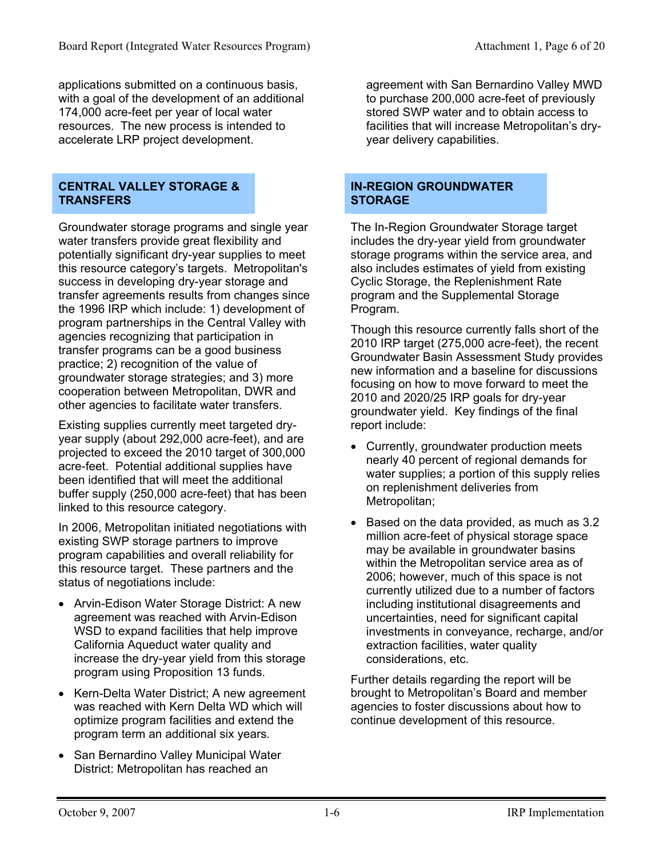applications submitted on a continuous basis, with a goal of the development of an additional 174,000 acre-feet per year of local water resources. The new process is intended to accelerate LRP project development.

#### **CENTRAL VALLEY STORAGE & TRANSFERS**

Groundwater storage programs and single year water transfers provide great flexibility and potentially significant dry-year supplies to meet this resource category's targets. Metropolitan's success in developing dry-year storage and transfer agreements results from changes since the 1996 IRP which include: 1) development of program partnerships in the Central Valley with agencies recognizing that participation in transfer programs can be a good business practice; 2) recognition of the value of groundwater storage strategies; and 3) more cooperation between Metropolitan, DWR and other agencies to facilitate water transfers.

Existing supplies currently meet targeted dryyear supply (about 292,000 acre-feet), and are projected to exceed the 2010 target of 300,000 acre-feet. Potential additional supplies have been identified that will meet the additional buffer supply (250,000 acre-feet) that has been linked to this resource category.

In 2006, Metropolitan initiated negotiations with existing SWP storage partners to improve program capabilities and overall reliability for this resource target. These partners and the status of negotiations include:

- Arvin-Edison Water Storage District: A new agreement was reached with Arvin-Edison WSD to expand facilities that help improve California Aqueduct water quality and increase the dry-year yield from this storage program using Proposition 13 funds.
- Kern-Delta Water District; A new agreement was reached with Kern Delta WD which will optimize program facilities and extend the program term an additional six years.
- San Bernardino Valley Municipal Water District: Metropolitan has reached an

agreement with San Bernardino Valley MWD to purchase 200,000 acre-feet of previously stored SWP water and to obtain access to facilities that will increase Metropolitan's dryyear delivery capabilities.

#### **IN-REGION GROUNDWATER STORAGE**

The In-Region Groundwater Storage target includes the dry-year yield from groundwater storage programs within the service area, and also includes estimates of yield from existing Cyclic Storage, the Replenishment Rate program and the Supplemental Storage Program.

Though this resource currently falls short of the 2010 IRP target (275,000 acre-feet), the recent Groundwater Basin Assessment Study provides new information and a baseline for discussions focusing on how to move forward to meet the 2010 and 2020/25 IRP goals for dry-year groundwater yield. Key findings of the final report include:

- Currently, groundwater production meets nearly 40 percent of regional demands for water supplies; a portion of this supply relies on replenishment deliveries from Metropolitan;
- Based on the data provided, as much as 3.2 million acre-feet of physical storage space may be available in groundwater basins within the Metropolitan service area as of 2006; however, much of this space is not currently utilized due to a number of factors including institutional disagreements and uncertainties, need for significant capital investments in conveyance, recharge, and/or extraction facilities, water quality considerations, etc.

Further details regarding the report will be brought to Metropolitan's Board and member agencies to foster discussions about how to continue development of this resource.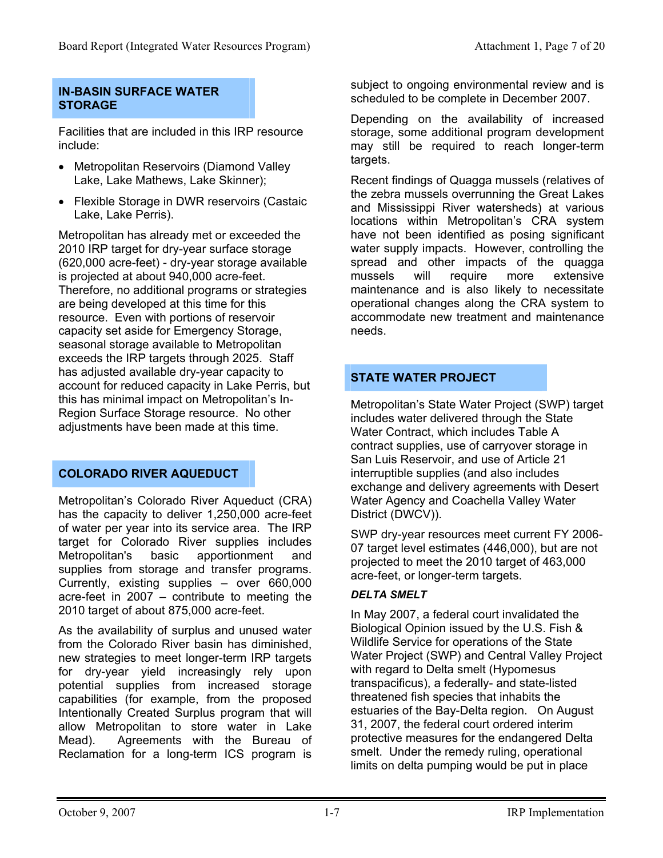#### **IN-BASIN SURFACE WATER STORAGE**

Facilities that are included in this IRP resource include:

- Metropolitan Reservoirs (Diamond Valley Lake, Lake Mathews, Lake Skinner);
- Flexible Storage in DWR reservoirs (Castaic Lake, Lake Perris).

Metropolitan has already met or exceeded the 2010 IRP target for dry-year surface storage (620,000 acre-feet) - dry-year storage available is projected at about 940,000 acre-feet. Therefore, no additional programs or strategies are being developed at this time for this resource. Even with portions of reservoir capacity set aside for Emergency Storage, seasonal storage available to Metropolitan exceeds the IRP targets through 2025. Staff has adjusted available dry-year capacity to account for reduced capacity in Lake Perris, but this has minimal impact on Metropolitan's In-Region Surface Storage resource. No other adjustments have been made at this time.

#### **COLORADO RIVER AQUEDUCT**

Metropolitan's Colorado River Aqueduct (CRA) has the capacity to deliver 1,250,000 acre-feet of water per year into its service area. The IRP target for Colorado River supplies includes Metropolitan's basic apportionment and supplies from storage and transfer programs. Currently, existing supplies – over 660,000 acre-feet in 2007 – contribute to meeting the 2010 target of about 875,000 acre-feet.

As the availability of surplus and unused water from the Colorado River basin has diminished, new strategies to meet longer-term IRP targets for dry-year yield increasingly rely upon potential supplies from increased storage capabilities (for example, from the proposed Intentionally Created Surplus program that will allow Metropolitan to store water in Lake Mead). Agreements with the Bureau of Reclamation for a long-term ICS program is

subject to ongoing environmental review and is scheduled to be complete in December 2007.

Depending on the availability of increased storage, some additional program development may still be required to reach longer-term targets.

Recent findings of Quagga mussels (relatives of the zebra mussels overrunning the Great Lakes and Mississippi River watersheds) at various locations within Metropolitan's CRA system have not been identified as posing significant water supply impacts. However, controlling the spread and other impacts of the quagga mussels will require more extensive maintenance and is also likely to necessitate operational changes along the CRA system to accommodate new treatment and maintenance needs.

### **STATE WATER PROJECT**

Metropolitan's State Water Project (SWP) target includes water delivered through the State Water Contract, which includes Table A contract supplies, use of carryover storage in San Luis Reservoir, and use of Article 21 interruptible supplies (and also includes exchange and delivery agreements with Desert Water Agency and Coachella Valley Water District (DWCV)).

SWP dry-year resources meet current FY 2006- 07 target level estimates (446,000), but are not projected to meet the 2010 target of 463,000 acre-feet, or longer-term targets.

#### *DELTA SMELT*

In May 2007, a federal court invalidated the Biological Opinion issued by the U.S. Fish & Wildlife Service for operations of the State Water Project (SWP) and Central Valley Project with regard to Delta smelt (Hypomesus transpacificus), a federally- and state-listed threatened fish species that inhabits the estuaries of the Bay-Delta region. On August 31, 2007, the federal court ordered interim protective measures for the endangered Delta smelt. Under the remedy ruling, operational limits on delta pumping would be put in place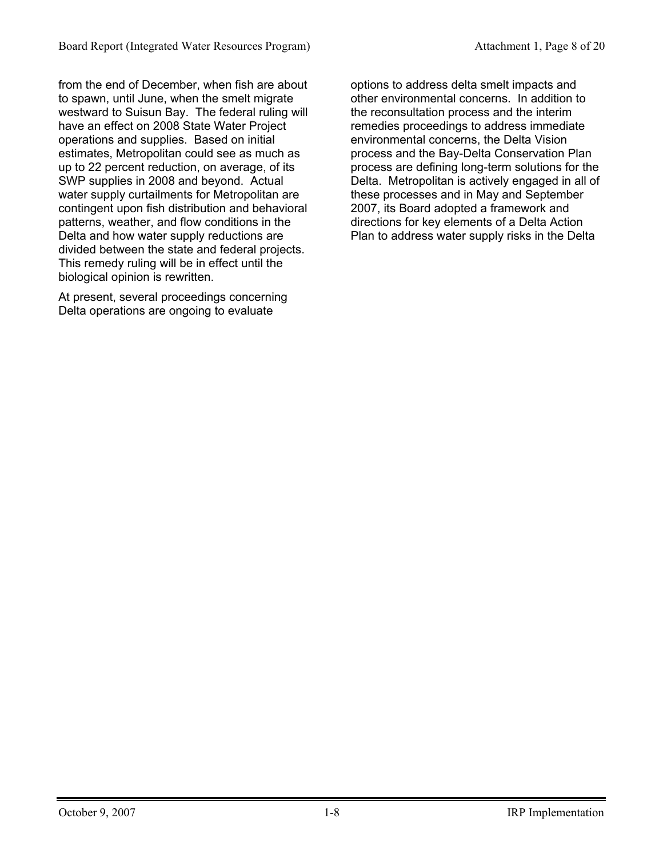from the end of December, when fish are about to spawn, until June, when the smelt migrate westward to Suisun Bay. The federal ruling will have an effect on 2008 State Water Project operations and supplies. Based on initial estimates, Metropolitan could see as much as up to 22 percent reduction, on average, of its SWP supplies in 2008 and beyond. Actual water supply curtailments for Metropolitan are contingent upon fish distribution and behavioral patterns, weather, and flow conditions in the Delta and how water supply reductions are divided between the state and federal projects. This remedy ruling will be in effect until the biological opinion is rewritten.

At present, several proceedings concerning Delta operations are ongoing to evaluate

options to address delta smelt impacts and other environmental concerns. In addition to the reconsultation process and the interim remedies proceedings to address immediate environmental concerns, the Delta Vision process and the Bay-Delta Conservation Plan process are defining long-term solutions for the Delta. Metropolitan is actively engaged in all of these processes and in May and September 2007, its Board adopted a framework and directions for key elements of a Delta Action Plan to address water supply risks in the Delta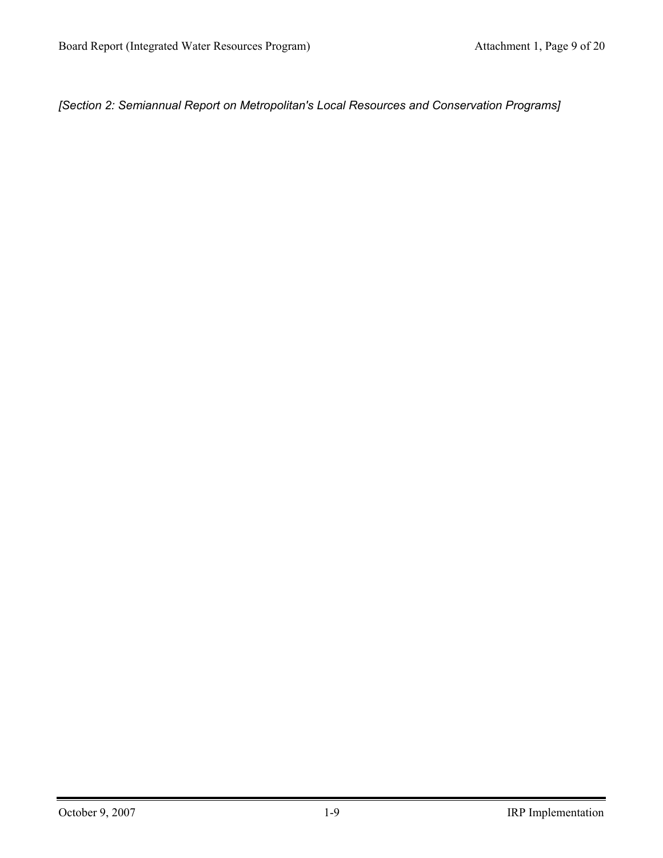*[Section 2: Semiannual Report on Metropolitan's Local Resources and Conservation Programs]*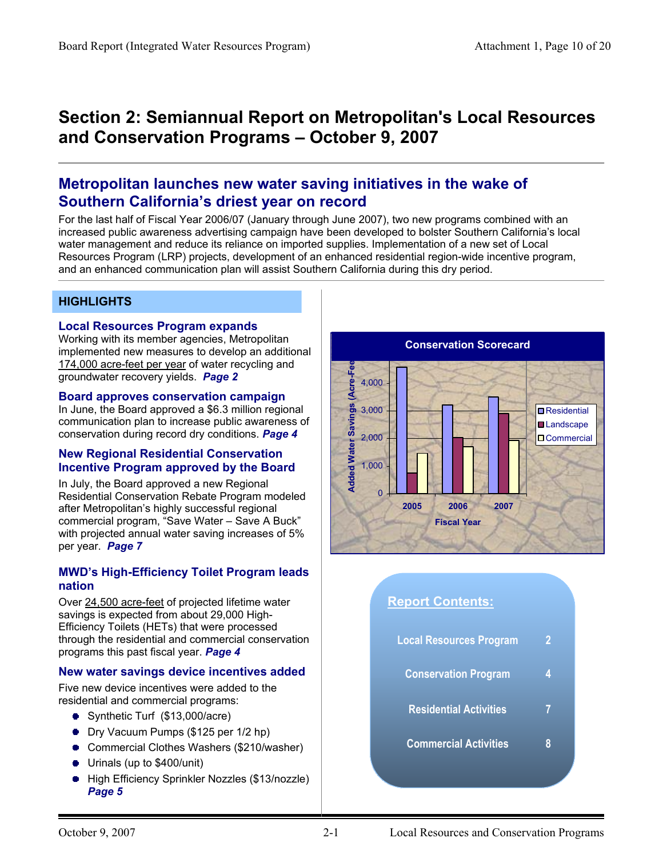# **Section 2: Semiannual Report on Metropolitan's Local Resources and Conservation Programs – October 9, 2007**

# **Metropolitan launches new water saving initiatives in the wake of Southern California's driest year on record**

For the last half of Fiscal Year 2006/07 (January through June 2007), two new programs combined with an increased public awareness advertising campaign have been developed to bolster Southern California's local water management and reduce its reliance on imported supplies. Implementation of a new set of Local Resources Program (LRP) projects, development of an enhanced residential region-wide incentive program, and an enhanced communication plan will assist Southern California during this dry period.

#### **HIGHLIGHTS**

#### **Local Resources Program expands**

Working with its member agencies, Metropolitan implemented new measures to develop an additional 174,000 acre-feet per year of water recycling and groundwater recovery yields. *Page 2* 

#### **Board approves conservation campaign**

In June, the Board approved a \$6.3 million regional communication plan to increase public awareness of conservation during record dry conditions. *Page 4*

#### **New Regional Residential Conservation Incentive Program approved by the Board**

In July, the Board approved a new Regional Residential Conservation Rebate Program modeled after Metropolitan's highly successful regional commercial program, "Save Water – Save A Buck" with projected annual water saving increases of 5% per year. *Page 7*

#### **MWD's High-Efficiency Toilet Program leads nation**

Over 24,500 acre-feet of projected lifetime water savings is expected from about 29,000 High-Efficiency Toilets (HETs) that were processed through the residential and commercial conservation programs this past fiscal year. *Page 4*

#### **New water savings device incentives added**

Five new device incentives were added to the residential and commercial programs:

- Synthetic Turf (\$13,000/acre)
- **Dry Vacuum Pumps (\$125 per 1/2 hp)**
- Commercial Clothes Washers (\$210/washer)
- Urinals (up to \$400/unit)
- **High Efficiency Sprinkler Nozzles (\$13/nozzle)** *Page 5*



# **Report Contents: Local Resources Program 2 Conservation Program 4 Residential Activities 7 Commercial Activities 8**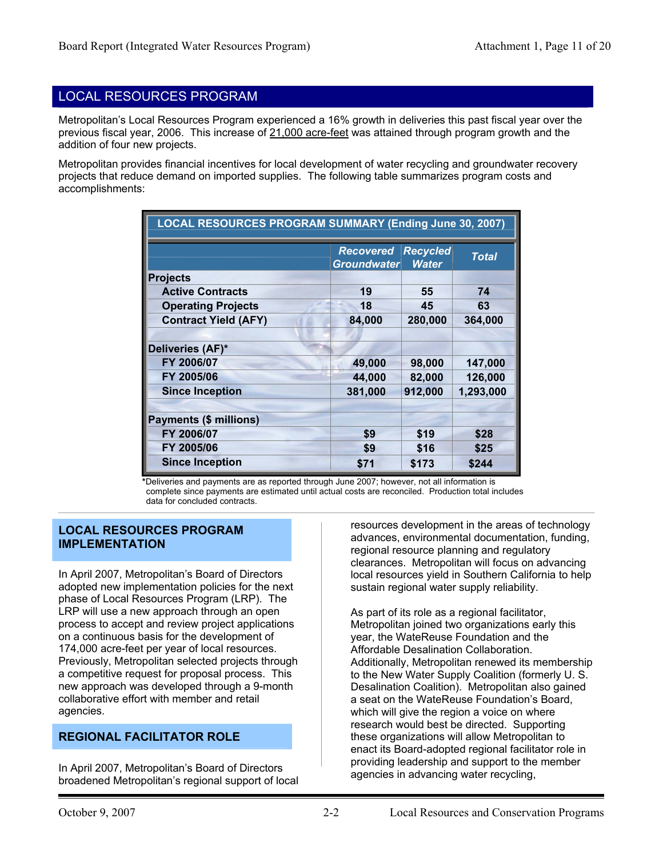#### LOCAL RESOURCES PROGRAM

Metropolitan's Local Resources Program experienced a 16% growth in deliveries this past fiscal year over the previous fiscal year, 2006. This increase of 21,000 acre-feet was attained through program growth and the addition of four new projects.

Metropolitan provides financial incentives for local development of water recycling and groundwater recovery projects that reduce demand on imported supplies. The following table summarizes program costs and accomplishments:

| LOCAL RESOURCES PROGRAM SUMMARY (Ending June 30, 2007) |                                 |                                 |              |  |  |  |  |  |
|--------------------------------------------------------|---------------------------------|---------------------------------|--------------|--|--|--|--|--|
|                                                        | <b>Recovered</b><br>Groundwater | <b>Recycled</b><br><b>Water</b> | <b>Total</b> |  |  |  |  |  |
| <b>Projects</b>                                        |                                 |                                 |              |  |  |  |  |  |
| <b>Active Contracts</b>                                | 19                              | 55                              | 74           |  |  |  |  |  |
| <b>Operating Projects</b>                              | 18                              | 45                              | 63           |  |  |  |  |  |
| <b>Contract Yield (AFY)</b>                            | 84,000                          | 280,000                         | 364,000      |  |  |  |  |  |
|                                                        |                                 |                                 |              |  |  |  |  |  |
| Deliveries (AF)*                                       |                                 |                                 |              |  |  |  |  |  |
| FY 2006/07                                             | 49,000                          | 98,000                          | 147,000      |  |  |  |  |  |
| FY 2005/06                                             | 44,000                          | 82,000                          | 126,000      |  |  |  |  |  |
| <b>Since Inception</b>                                 | 381,000                         | 912,000                         | 1,293,000    |  |  |  |  |  |
|                                                        |                                 |                                 |              |  |  |  |  |  |
| <b>Payments (\$ millions)</b>                          |                                 |                                 |              |  |  |  |  |  |
| FY 2006/07                                             | \$9                             | \$19                            | \$28         |  |  |  |  |  |
| FY 2005/06                                             | \$9                             | \$16                            | \$25         |  |  |  |  |  |
| <b>Since Inception</b>                                 | \$71                            | \$173                           | \$244        |  |  |  |  |  |

**\***Deliveries and payments are as reported through June 2007; however, not all information is complete since payments are estimated until actual costs are reconciled. Production total includes data for concluded contracts.

#### **LOCAL RESOURCES PROGRAM IMPLEMENTATION**

In April 2007, Metropolitan's Board of Directors adopted new implementation policies for the next phase of Local Resources Program (LRP). The LRP will use a new approach through an open process to accept and review project applications on a continuous basis for the development of 174,000 acre-feet per year of local resources. Previously, Metropolitan selected projects through a competitive request for proposal process. This new approach was developed through a 9-month collaborative effort with member and retail agencies.

#### **REGIONAL FACILITATOR ROLE**

In April 2007, Metropolitan's Board of Directors broadened Metropolitan's regional support of local

resources development in the areas of technology advances, environmental documentation, funding, regional resource planning and regulatory clearances. Metropolitan will focus on advancing local resources yield in Southern California to help sustain regional water supply reliability.

As part of its role as a regional facilitator, Metropolitan joined two organizations early this year, the WateReuse Foundation and the Affordable Desalination Collaboration. Additionally, Metropolitan renewed its membership to the New Water Supply Coalition (formerly U. S. Desalination Coalition). Metropolitan also gained a seat on the WateReuse Foundation's Board, which will give the region a voice on where research would best be directed. Supporting these organizations will allow Metropolitan to enact its Board-adopted regional facilitator role in providing leadership and support to the member agencies in advancing water recycling,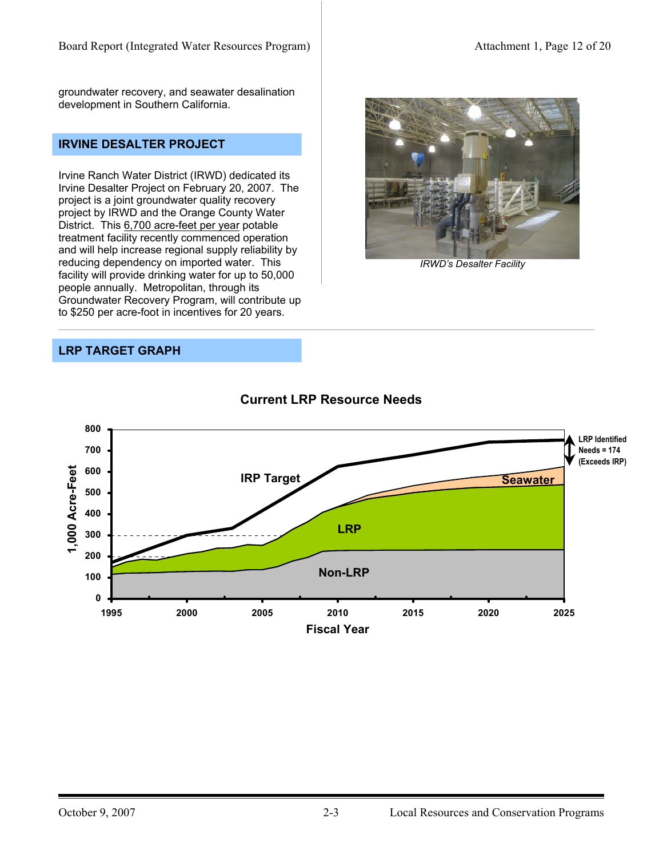groundwater recovery, and seawater desalination development in Southern California.

#### **IRVINE DESALTER PROJECT**

Irvine Ranch Water District (IRWD) dedicated its Irvine Desalter Project on February 20, 2007. The project is a joint groundwater quality recovery project by IRWD and the Orange County Water District. This 6,700 acre-feet per year potable treatment facility recently commenced operation and will help increase regional supply reliability by reducing dependency on imported water. This facility will provide drinking water for up to 50,000 people annually. Metropolitan, through its Groundwater Recovery Program, will contribute up to \$250 per acre-foot in incentives for 20 years.

#### **LRP TARGET GRAPH**



#### **Current LRP Resource Needs**



*IRWD's Desalter Facility*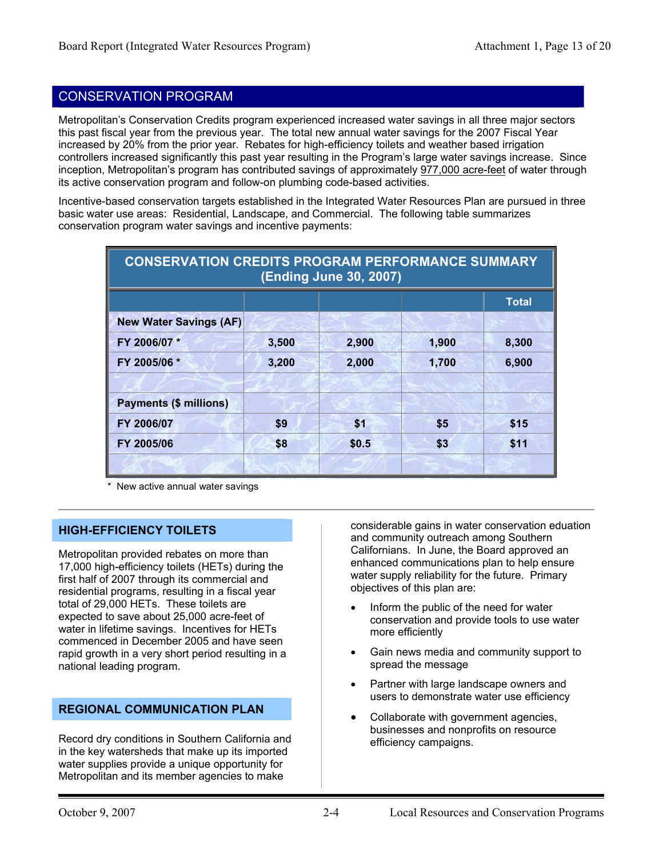#### CONSERVATION PROGRAM

Metropolitan's Conservation Credits program experienced increased water savings in all three major sectors this past fiscal year from the previous year. The total new annual water savings for the 2007 Fiscal Year increased by 20% from the prior year. Rebates for high-efficiency toilets and weather based irrigation controllers increased significantly this past year resulting in the Program's large water savings increase. Since inception, Metropolitan's program has contributed savings of approximately 977,000 acre-feet of water through its active conservation program and follow-on plumbing code-based activities.

Incentive-based conservation targets established in the Integrated Water Resources Plan are pursued in three basic water use areas: Residential, Landscape, and Commercial. The following table summarizes conservation program water savings and incentive payments:

| <b>CONSERVATION CREDITS PROGRAM PERFORMANCE SUMMARY</b><br>(Ending June 30, 2007) |       |       |       |       |  |  |  |  |  |
|-----------------------------------------------------------------------------------|-------|-------|-------|-------|--|--|--|--|--|
| <b>Total</b>                                                                      |       |       |       |       |  |  |  |  |  |
| <b>New Water Savings (AF)</b>                                                     |       |       |       |       |  |  |  |  |  |
| FY 2006/07 *                                                                      | 3,500 | 2,900 | 1,900 | 8,300 |  |  |  |  |  |
| FY 2005/06 *                                                                      | 3,200 | 2,000 | 1,700 | 6,900 |  |  |  |  |  |
|                                                                                   |       |       |       |       |  |  |  |  |  |
| <b>Payments (\$ millions)</b>                                                     |       |       |       |       |  |  |  |  |  |
| FY 2006/07                                                                        | \$9   | \$1   | \$5   | \$15  |  |  |  |  |  |
| FY 2005/06                                                                        | \$8   | \$0.5 | \$3   | \$11  |  |  |  |  |  |
|                                                                                   |       |       |       |       |  |  |  |  |  |

New active annual water savings

#### **HIGH-EFFICIENCY TOILETS**

Metropolitan provided rebates on more than 17,000 high-efficiency toilets (HETs) during the first half of 2007 through its commercial and residential programs, resulting in a fiscal year total of 29,000 HETs. These toilets are expected to save about 25,000 acre-feet of water in lifetime savings. Incentives for HETs commenced in December 2005 and have seen rapid growth in a very short period resulting in a national leading program.

#### **REGIONAL COMMUNICATION PLAN**

Record dry conditions in Southern California and in the key watersheds that make up its imported water supplies provide a unique opportunity for Metropolitan and its member agencies to make

considerable gains in water conservation eduation and community outreach among Southern Californians. In June, the Board approved an enhanced communications plan to help ensure water supply reliability for the future. Primary objectives of this plan are:

- Inform the public of the need for water conservation and provide tools to use water more efficiently
- Gain news media and community support to spread the message
- Partner with large landscape owners and users to demonstrate water use efficiency
- Collaborate with government agencies, businesses and nonprofits on resource efficiency campaigns.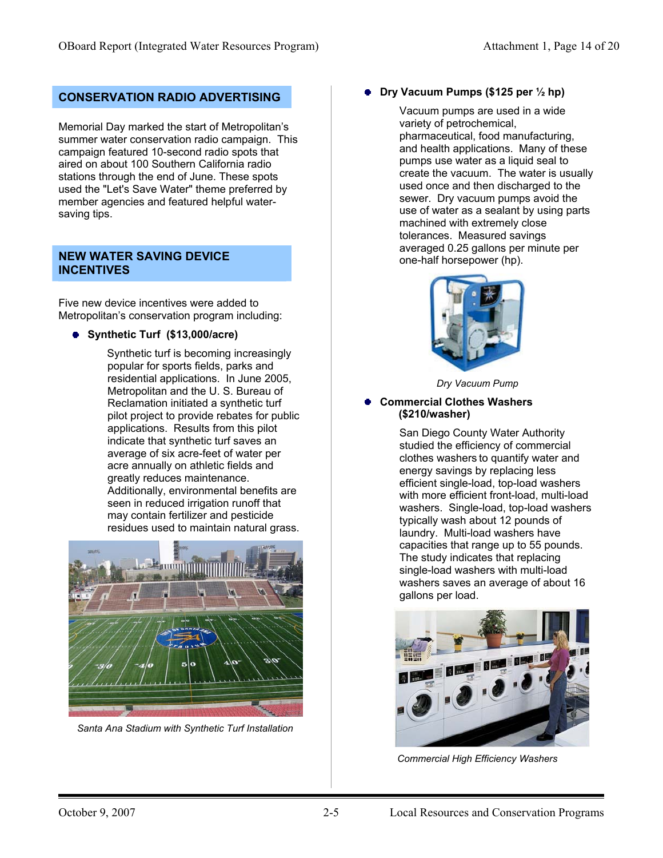Memorial Day marked the start of Metropolitan's summer water conservation radio campaign. This campaign featured 10-second radio spots that aired on about 100 Southern California radio stations through the end of June. These spots used the "Let's Save Water" theme preferred by member agencies and featured helpful watersaving tips.

#### **NEW WATER SAVING DEVICE INCENTIVES**

Five new device incentives were added to Metropolitan's conservation program including:

**Synthetic Turf (\$13,000/acre)**

 Synthetic turf is becoming increasingly popular for sports fields, parks and residential applications. In June 2005, Metropolitan and the U. S. Bureau of Reclamation initiated a synthetic turf pilot project to provide rebates for public applications. Results from this pilot indicate that synthetic turf saves an average of six acre-feet of water per acre annually on athletic fields and greatly reduces maintenance. Additionally, environmental benefits are seen in reduced irrigation runoff that may contain fertilizer and pesticide residues used to maintain natural grass.



*Santa Ana Stadium with Synthetic Turf Installation* 

#### **CONSERVATION RADIO ADVERTISING CONSERVATION RADIO ADVERTISING**

 Vacuum pumps are used in a wide variety of petrochemical, pharmaceutical, food manufacturing, and health applications. Many of these pumps use water as a liquid seal to create the vacuum. The water is usually used once and then discharged to the sewer. Dry vacuum pumps avoid the use of water as a sealant by using parts machined with extremely close tolerances. Measured savings averaged 0.25 gallons per minute per one-half horsepower (hp).



*Dry Vacuum Pump* 

#### **Commercial Clothes Washers (\$210/washer)**

 San Diego County Water Authority studied the efficiency of commercial clothes washers to quantify water and energy savings by replacing less efficient single-load, top-load washers with more efficient front-load, multi-load washers. Single-load, top-load washers typically wash about 12 pounds of laundry. Multi-load washers have capacities that range up to 55 pounds. The study indicates that replacing single-load washers with multi-load washers saves an average of about 16 gallons per load.



*Commercial High Efficiency Washers*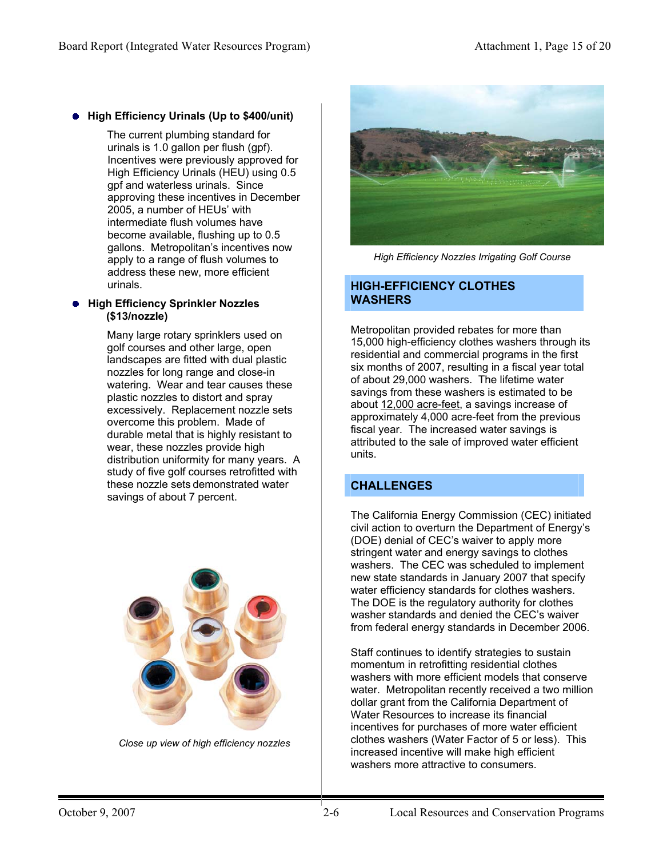#### **High Efficiency Urinals (Up to \$400/unit)**

 The current plumbing standard for urinals is 1.0 gallon per flush (gpf). Incentives were previously approved for High Efficiency Urinals (HEU) using 0.5 gpf and waterless urinals. Since approving these incentives in December 2005, a number of HEUs' with intermediate flush volumes have become available, flushing up to 0.5 gallons. Metropolitan's incentives now apply to a range of flush volumes to address these new, more efficient urinals.

#### **High Efficiency Sprinkler Nozzles (\$13/nozzle)**

Many large rotary sprinklers used on golf courses and other large, open landscapes are fitted with dual plastic nozzles for long range and close-in watering. Wear and tear causes these plastic nozzles to distort and spray excessively. Replacement nozzle sets overcome this problem. Made of durable metal that is highly resistant to wear, these nozzles provide high distribution uniformity for many years. A study of five golf courses retrofitted with these nozzle sets demonstrated water savings of about 7 percent.



*Close up view of high efficiency nozzles* 



*High Efficiency Nozzles Irrigating Golf Course* 

#### **HIGH-EFFICIENCY CLOTHES WASHERS**

Metropolitan provided rebates for more than 15,000 high-efficiency clothes washers through its residential and commercial programs in the first six months of 2007, resulting in a fiscal year total of about 29,000 washers. The lifetime water savings from these washers is estimated to be about 12,000 acre-feet, a savings increase of approximately 4,000 acre-feet from the previous fiscal year. The increased water savings is attributed to the sale of improved water efficient units.

#### **CHALLENGES**

The California Energy Commission (CEC) initiated civil action to overturn the Department of Energy's (DOE) denial of CEC's waiver to apply more stringent water and energy savings to clothes washers. The CEC was scheduled to implement new state standards in January 2007 that specify water efficiency standards for clothes washers. The DOE is the regulatory authority for clothes washer standards and denied the CEC's waiver from federal energy standards in December 2006.

Staff continues to identify strategies to sustain momentum in retrofitting residential clothes washers with more efficient models that conserve water. Metropolitan recently received a two million dollar grant from the California Department of Water Resources to increase its financial incentives for purchases of more water efficient clothes washers (Water Factor of 5 or less). This increased incentive will make high efficient washers more attractive to consumers.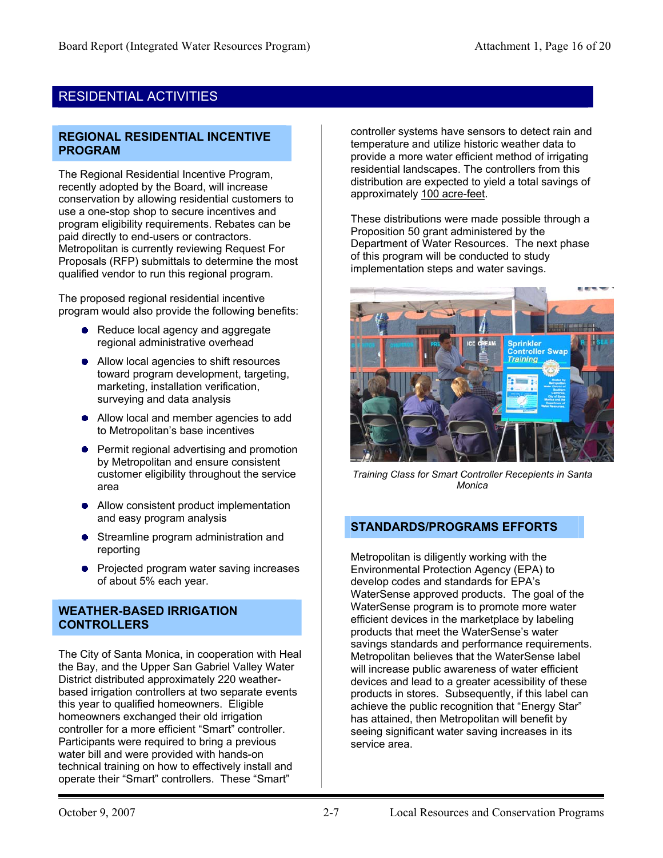#### RESIDENTIAL ACTIVITIES

#### **REGIONAL RESIDENTIAL INCENTIVE PROGRAM**

The Regional Residential Incentive Program, recently adopted by the Board, will increase conservation by allowing residential customers to use a one-stop shop to secure incentives and program eligibility requirements. Rebates can be paid directly to end-users or contractors. Metropolitan is currently reviewing Request For Proposals (RFP) submittals to determine the most qualified vendor to run this regional program.

The proposed regional residential incentive program would also provide the following benefits:

- Reduce local agency and aggregate regional administrative overhead
- Allow local agencies to shift resources toward program development, targeting, marketing, installation verification, surveying and data analysis
- Allow local and member agencies to add to Metropolitan's base incentives
- **•** Permit regional advertising and promotion by Metropolitan and ensure consistent customer eligibility throughout the service area
- Allow consistent product implementation and easy program analysis
- Streamline program administration and reporting
- Projected program water saving increases of about 5% each year.

#### **WEATHER-BASED IRRIGATION CONTROLLERS**

The City of Santa Monica, in cooperation with Heal the Bay, and the Upper San Gabriel Valley Water District distributed approximately 220 weatherbased irrigation controllers at two separate events this year to qualified homeowners. Eligible homeowners exchanged their old irrigation controller for a more efficient "Smart" controller. Participants were required to bring a previous water bill and were provided with hands-on technical training on how to effectively install and operate their "Smart" controllers. These "Smart"

controller systems have sensors to detect rain and temperature and utilize historic weather data to provide a more water efficient method of irrigating residential landscapes. The controllers from this distribution are expected to yield a total savings of approximately 100 acre-feet.

These distributions were made possible through a Proposition 50 grant administered by the Department of Water Resources. The next phase of this program will be conducted to study implementation steps and water savings.



*Training Class for Smart Controller Recepients in Santa Monica*

#### **STANDARDS/PROGRAMS EFFORTS**

Metropolitan is diligently working with the Environmental Protection Agency (EPA) to develop codes and standards for EPA's WaterSense approved products. The goal of the WaterSense program is to promote more water efficient devices in the marketplace by labeling products that meet the WaterSense's water savings standards and performance requirements. Metropolitan believes that the WaterSense label will increase public awareness of water efficient devices and lead to a greater acessibility of these products in stores. Subsequently, if this label can achieve the public recognition that "Energy Star" has attained, then Metropolitan will benefit by seeing significant water saving increases in its service area.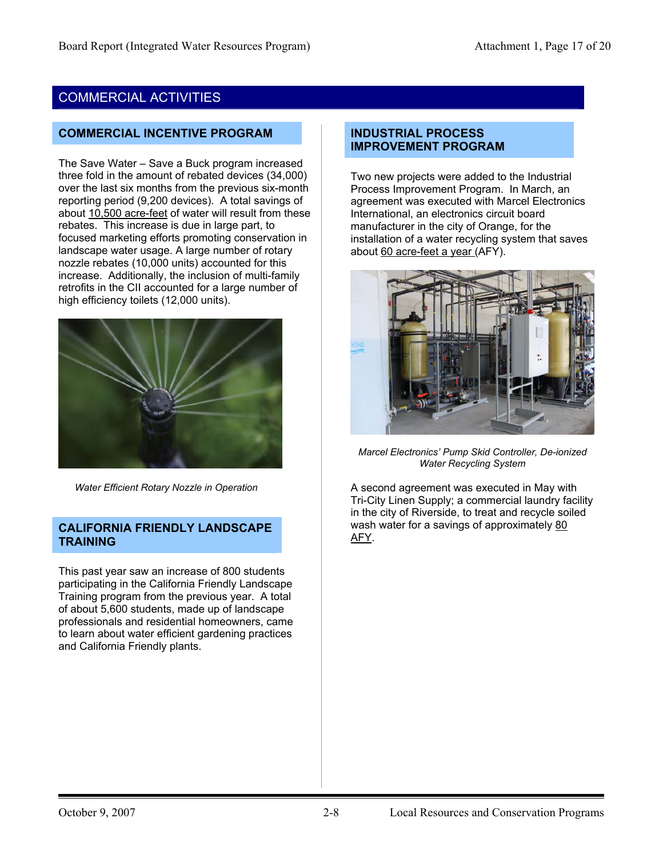# COMMERCIAL ACTIVITIES

#### **COMMERCIAL INCENTIVE PROGRAM**

The Save Water – Save a Buck program increased three fold in the amount of rebated devices (34,000) over the last six months from the previous six-month reporting period (9,200 devices). A total savings of about 10,500 acre-feet of water will result from these rebates. This increase is due in large part, to focused marketing efforts promoting conservation in landscape water usage. A large number of rotary nozzle rebates (10,000 units) accounted for this increase. Additionally, the inclusion of multi-family retrofits in the CII accounted for a large number of high efficiency toilets (12,000 units).



 *Water Efficient Rotary Nozzle in Operation* 

#### **CALIFORNIA FRIENDLY LANDSCAPE TRAINING**

This past year saw an increase of 800 students participating in the California Friendly Landscape Training program from the previous year. A total of about 5,600 students, made up of landscape professionals and residential homeowners, came to learn about water efficient gardening practices and California Friendly plants.

#### **INDUSTRIAL PROCESS IMPROVEMENT PROGRAM**

Two new projects were added to the Industrial Process Improvement Program. In March, an agreement was executed with Marcel Electronics International, an electronics circuit board manufacturer in the city of Orange, for the installation of a water recycling system that saves about 60 acre-feet a year (AFY).



*Marcel Electronics' Pump Skid Controller, De-ionized Water Recycling System* 

A second agreement was executed in May with Tri-City Linen Supply; a commercial laundry facility in the city of Riverside, to treat and recycle soiled wash water for a savings of approximately 80 AFY.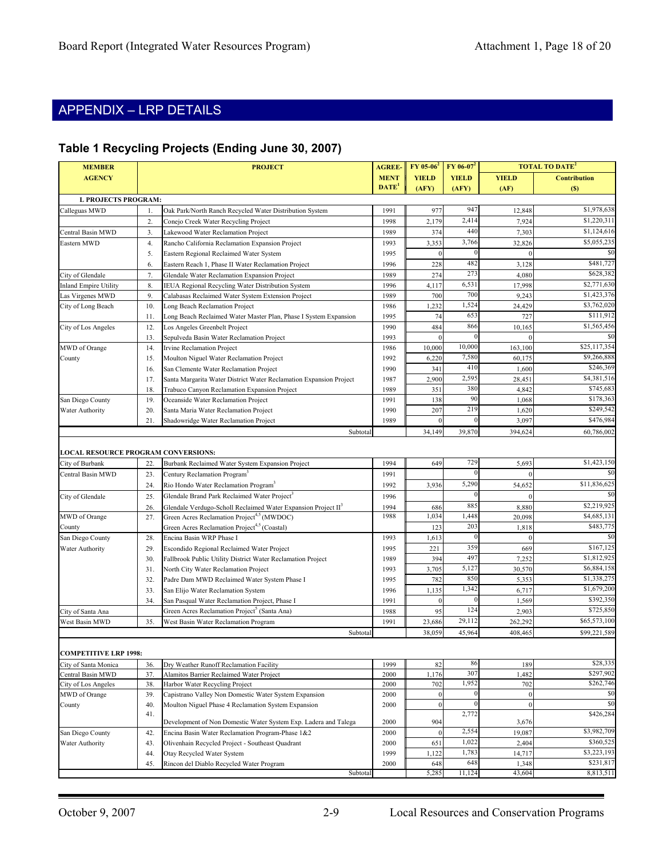# APPENDIX – LRP DETAILS

#### **Table 1 Recycling Projects (Ending June 30, 2007)**

| <b>MEMBER</b>                              | <b>PROJECT</b>   |                                                                                     | <b>AGREE-</b>     | $FY$ 05-06 <sup>2</sup> | $FY$ 06-07 <sup>2</sup> |                | <b>TOTAL TO DATE<sup>2</sup></b> |
|--------------------------------------------|------------------|-------------------------------------------------------------------------------------|-------------------|-------------------------|-------------------------|----------------|----------------------------------|
| <b>AGENCY</b>                              |                  |                                                                                     | <b>MENT</b>       | <b>YIELD</b>            | <b>YIELD</b>            | <b>YIELD</b>   | <b>Contribution</b>              |
|                                            |                  |                                                                                     | DATE <sup>1</sup> | (AFY)                   | (AFY)                   | (AF)           | (S)                              |
| <b>L PROJECTS PROGRAM:</b>                 |                  |                                                                                     |                   |                         |                         |                |                                  |
| Calleguas MWD                              | 1.               | Oak Park/North Ranch Recycled Water Distribution System                             | 1991              | 977                     | 947                     | 12,848         | \$1,978,638                      |
|                                            | $\overline{2}$ . | Conejo Creek Water Recycling Project                                                | 1998              | 2,179                   | 2,414                   | 7,924          | \$1,220,311                      |
| Central Basin MWD                          | 3.               | Lakewood Water Reclamation Project                                                  | 1989              | 374                     | 440                     | 7,303          | \$1,124,616                      |
| Eastern MWD                                | 4.               | Rancho California Reclamation Expansion Project                                     | 1993              | 3,353                   | 3,766                   | 32,826         | \$5,055,235                      |
|                                            | 5.               | Eastern Regional Reclaimed Water System                                             | 1995              | $\Omega$                | $\bf{0}$                | $\Omega$       | \$0                              |
|                                            | 6.               | Eastern Reach 1, Phase II Water Reclamation Project                                 | 1996              | 228                     | 482                     | 3,128          | \$481,727                        |
| City of Glendale                           | 7.               | Glendale Water Reclamation Expansion Project                                        | 1989              | 274                     | 273                     | 4,080          | \$628,382                        |
| <b>Inland Empire Utility</b>               | 8.               | IEUA Regional Recycling Water Distribution System                                   | 1996              | 4,117                   | 6,531                   | 17,998         | \$2,771,630                      |
| Las Virgenes MWD                           | 9.               | Calabasas Reclaimed Water System Extension Project                                  | 1989              | 700                     | 700                     | 9,243          | \$1,423,376                      |
| City of Long Beach                         | 10.              | Long Beach Reclamation Project                                                      | 1986              | 1,232                   | 1,524                   | 24,429         | \$3,762,020                      |
|                                            | 11.              | Long Beach Reclaimed Water Master Plan, Phase I System Expansion                    | 1995              | 74                      | 653                     | 727            | \$111,912                        |
| City of Los Angeles                        | 12.              | Los Angeles Greenbelt Project                                                       | 1990              | 484                     | 866                     | 10,165         | \$1,565,456                      |
|                                            | 13.              | Sepulveda Basin Water Reclamation Project                                           | 1993              | $\Omega$                | $\vert$ 0               |                | SC.                              |
| MWD of Orange                              | 14.              | <b>Irvine Reclamation Project</b>                                                   | 1986              | 10,000                  | 10,000                  | 163,100        | \$25,117,354                     |
| County                                     | 15.              | Moulton Niguel Water Reclamation Project                                            | 1992              | 6,220                   | 7,580<br>410            | 60,175         | \$9,266,888<br>\$246,369         |
|                                            | 16.              | San Clemente Water Reclamation Project                                              | 1990              | 341                     | 2,595                   | 1,600          | \$4,381,516                      |
|                                            | 17.              | Santa Margarita Water District Water Reclamation Expansion Project                  | 1987              | 2,900<br>351            | 380                     | 28,451         | \$745,683                        |
| San Diego County                           | 18.<br>19.       | Trabuco Canyon Reclamation Expansion Project<br>Oceanside Water Reclamation Project | 1989<br>1991      | 138                     | 90                      | 4,842<br>1,068 | \$178,363                        |
| Water Authority                            | 20.              | Santa Maria Water Reclamation Project                                               | 1990              | 207                     | 219                     | 1,620          | \$249,542                        |
|                                            | 21.              | Shadowridge Water Reclamation Project                                               | 1989              | $\Omega$                |                         | 3,097          | \$476,984                        |
|                                            |                  | Subtotal                                                                            |                   | 34,149                  | 39,870                  | 394,624        | 60,786,002                       |
|                                            |                  |                                                                                     |                   |                         |                         |                |                                  |
| <b>LOCAL RESOURCE PROGRAM CONVERSIONS:</b> |                  |                                                                                     |                   |                         |                         |                |                                  |
| City of Burbank                            | 22.              | Burbank Reclaimed Water System Expansion Project                                    | 1994              | 649                     | 729                     | 5,693          | \$1,423,150                      |
| Central Basin MWD                          | 23.              | Century Reclamation Program <sup>3</sup>                                            | 1991              |                         | $\vert$ 0               | $\Omega$       | \$0                              |
|                                            | 24.              | Rio Hondo Water Reclamation Program <sup>3</sup>                                    | 1992              | 3,936                   | 5,290                   | 54,652         | \$11,836,625                     |
| City of Glendale                           | 25.              | Glendale Brand Park Reclaimed Water Project <sup>3</sup>                            | 1996              |                         |                         | $\Omega$       | \$0                              |
|                                            | 26.              | Glendale Verdugo-Scholl Reclaimed Water Expansion Project II <sup>5</sup>           | 1994              | 686                     | 885                     | 8,880          | \$2,219,925                      |
| MWD of Orange                              | 27.              | Green Acres Reclamation Project <sup>4,5</sup> (MWDOC)                              | 1988              | 1,034                   | 1,448                   | 20,098         | \$4,685,131                      |
| County                                     |                  | Green Acres Reclamation Project <sup>4,5</sup> (Coastal)                            |                   | 123                     | 203                     | 1,818          | \$483,775                        |
| San Diego County                           | 28.              | Encina Basin WRP Phase I                                                            | 1993              | 1,613                   |                         | $\mathbf{0}$   | $$^{<}$                          |
| Water Authority                            | 29.              | Escondido Regional Reclaimed Water Project                                          | 1995              | 221                     | 359                     | 669            | \$167,125                        |
|                                            | 30.              | Fallbrook Public Utility District Water Reclamation Project                         | 1989              | 394                     | 497                     | 7,252          | \$1,812,925                      |
|                                            | 31.              | North City Water Reclamation Project                                                | 1993              | 3,705                   | 5,127                   | 30,570         | \$6,884,158                      |
|                                            | 32.              | Padre Dam MWD Reclaimed Water System Phase I                                        | 1995              | 782                     | 850                     | 5,353          | \$1,338,275                      |
|                                            | 33.              | San Elijo Water Reclamation System                                                  | 1996              | 1,135                   | 1,342                   | 6,717          | \$1,679,200                      |
|                                            | 34               | San Pasqual Water Reclamation Project, Phase I                                      | 1991              | $\mathbf{0}$            | $\overline{0}$          | 1,569          | \$392,350                        |
| City of Santa Ana                          |                  | Green Acres Reclamation Project <sup>5</sup> (Santa Ana)                            | 1988              | 95                      | 124                     | 2,903          | \$725,850                        |
| West Basin MWD                             | 35.              | West Basin Water Reclamation Program                                                | 1991              | 23,686                  | 29,112                  | 262,292        | \$65,573,100                     |
|                                            |                  | Subtotal                                                                            |                   | 38,059                  | 45,964                  | 408,465        | \$99,221,589                     |
|                                            |                  |                                                                                     |                   |                         |                         |                |                                  |
| <b>COMPETITIVE LRP 1998:</b>               |                  |                                                                                     |                   |                         |                         |                |                                  |
| City of Santa Monica                       | 36.<br>37.       | Dry Weather Runoff Reclamation Facility<br>Alamitos Barrier Reclaimed Water Project | 1999              | 82<br>1,176             | 86<br>307               | 189<br>1,482   | \$28,335<br>\$297,902            |
| Central Basin MWD                          | 38.              | Harbor Water Recycling Project                                                      | 2000<br>2000      | 702                     | 1,952                   | 702            | \$262,746                        |
| City of Los Angeles<br>MWD of Orange       | 39.              | Capistrano Valley Non Domestic Water System Expansion                               | 2000              | $\boldsymbol{0}$        | $\vert 0 \vert$         | $\overline{0}$ | \$0                              |
| County                                     | 40.              | Moulton Niguel Phase 4 Reclamation System Expansion                                 | 2000              | $\boldsymbol{0}$        | $\overline{0}$          | $\overline{0}$ | \$0                              |
|                                            | 41.              |                                                                                     |                   |                         | 2,772                   |                | \$426,284                        |
|                                            |                  | Development of Non Domestic Water System Exp. Ladera and Talega                     | 2000              | 904                     |                         | 3,676          |                                  |
| San Diego County                           | 42.              | Encina Basin Water Reclamation Program-Phase 1&2                                    | 2000              | $\theta$                | 2,554                   | 19,087         | \$3,982,709                      |
| Water Authority                            | 43.              | Olivenhain Recycled Project - Southeast Quadrant                                    | 2000              | 651                     | 1,022                   | 2,404          | \$360,525                        |
|                                            | 44.              | Otay Recycled Water System                                                          | 1999              | 1,122                   | 1,783                   | 14,717         | \$3,223,193                      |
|                                            | 45.              | Rincon del Diablo Recycled Water Program                                            | 2000              | 648                     | 648                     | 1,348          | \$231,817                        |
|                                            |                  | Subtotal                                                                            |                   | 5,285                   | 11,124                  | 43,604         | 8,813,511                        |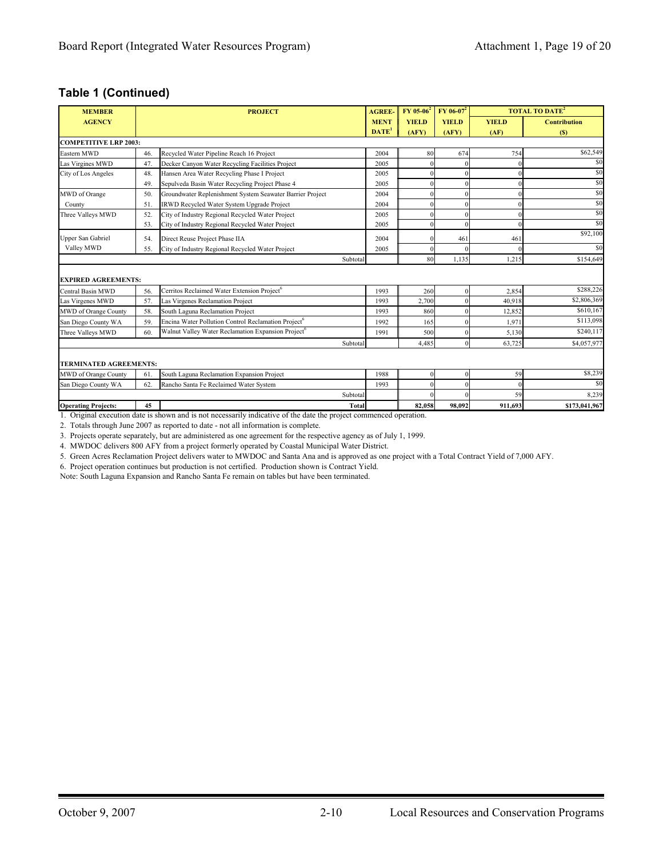#### **Table 1 (Continued)**

| <b>MEMBER</b>                 |     | <b>PROJECT</b>                                                  |              | <b>AGREE-</b> | $FY$ 05-06 <sup>2</sup> | $FY$ 06-07 <sup>2</sup> |              | <b>TOTAL TO DATE<sup>2</sup></b> |
|-------------------------------|-----|-----------------------------------------------------------------|--------------|---------------|-------------------------|-------------------------|--------------|----------------------------------|
| <b>AGENCY</b>                 |     |                                                                 |              | <b>MENT</b>   | <b>YIELD</b>            | <b>YIELD</b>            | <b>YIELD</b> | <b>Contribution</b>              |
|                               |     |                                                                 |              | $DATE1$       | (AFY)                   | (AFY)                   | (AF)         | (S)                              |
| <b>COMPETITIVE LRP 2003:</b>  |     |                                                                 |              |               |                         |                         |              |                                  |
| Eastern MWD                   | 46. | Recycled Water Pipeline Reach 16 Project                        |              | 2004          | 80                      | 674                     | 754          | \$62,549                         |
| Las Virgines MWD              | 47. | Decker Canyon Water Recycling Facilities Project                |              | 2005          |                         |                         |              | \$0                              |
| City of Los Angeles           | 48. | Hansen Area Water Recycling Phase I Project                     |              | 2005          |                         |                         |              | \$0                              |
|                               | 49. | Sepulveda Basin Water Recycling Project Phase 4                 |              | 2005          |                         |                         |              | \$0                              |
| MWD of Orange                 | 50. | Groundwater Replenishment System Seawater Barrier Project       |              | 2004          |                         |                         | 0            | \$0                              |
| County                        | 51. | IRWD Recycled Water System Upgrade Project                      |              | 2004          |                         |                         | 0            | \$0                              |
| Three Valleys MWD             | 52. | City of Industry Regional Recycled Water Project                |              | 2005          |                         |                         | 0            | \$0                              |
|                               | 53. | City of Industry Regional Recycled Water Project                |              | 2005          |                         |                         | $\Omega$     | \$0                              |
| Upper San Gabriel             | 54. | Direct Reuse Project Phase IIA                                  |              | 2004          |                         | 461                     | 461          | \$92,100                         |
| Valley MWD                    | 55. | City of Industry Regional Recycled Water Project                |              | 2005          |                         |                         |              | \$0                              |
|                               |     |                                                                 | Subtotal     |               | 80                      | 1.135                   | 1,215        | \$154,649                        |
| <b>EXPIRED AGREEMENTS:</b>    |     |                                                                 |              |               |                         |                         |              |                                  |
| Central Basin MWD             | 56. | Cerritos Reclaimed Water Extension Project <sup>6</sup>         |              | 1993          | 260                     |                         | 2,854        | \$288,226                        |
| Las Virgenes MWD              | 57. | Las Virgenes Reclamation Project                                |              | 1993          | 2,700                   |                         | 40.918       | \$2,806,369                      |
| MWD of Orange County          | 58. | South Laguna Reclamation Project                                |              | 1993          | 860                     |                         | 12,852       | \$610,167                        |
| San Diego County WA           | 59. | Encina Water Pollution Control Reclamation Project <sup>6</sup> |              | 1992          | 165                     |                         | 1,971        | \$113,098                        |
| Three Valleys MWD             | 60. | Walnut Valley Water Reclamation Expansion Project <sup>6</sup>  |              | 1991          | 500                     |                         | 5,130        | \$240.117                        |
|                               |     |                                                                 | Subtotal     |               | 4,485                   | $\Omega$                | 63,725       | \$4,057,977                      |
| <b>TERMINATED AGREEMENTS:</b> |     |                                                                 |              |               |                         |                         |              |                                  |
| <b>MWD</b> of Orange County   | 61. | South Laguna Reclamation Expansion Project                      |              | 1988          |                         |                         | 59           | \$8,239                          |
| San Diego County WA           | 62. | Rancho Santa Fe Reclaimed Water System                          |              | 1993          |                         |                         | $\theta$     | \$0                              |
|                               |     |                                                                 | Subtotal     |               |                         |                         | 59           | 8,239                            |
| <b>Operating Projects:</b>    | 45  |                                                                 | <b>Total</b> |               | 82,058                  | 98.092                  | 911.693      | \$173,041,967                    |

1. Original execution date is shown and is not necessarily indicative of the date the project commenced operation.

2. Totals through June 2007 as reported to date - not all information is complete.

3 . Projects operate separately, but are administered as one agreement for the respective agency as of July 1, 1999.

4. MWDOC delivers 800 AFY from a project formerly operated by Coastal Municipal Water District.

5. Green Acres Reclamation Project delivers water to MWDOC and Santa Ana and is approved as one project with a Total Contract Yield of 7,000 AFY.

6. Project operation continues but production is not certified. Production shown is Contract Yield.

Note: S outh Laguna Expansion and Rancho Santa Fe remain on tables but have been terminated.